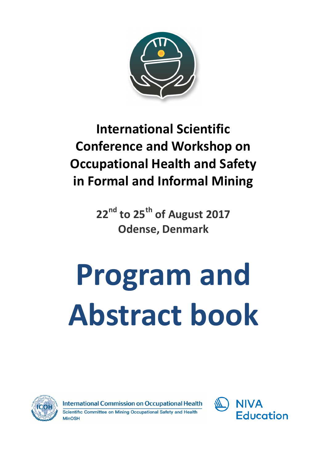

## **International Scientific Conference and Workshop on Occupational Health and Safety in Formal and Informal Mining**

**22nd to 25th of August 2017 Odense, Denmark**

# **Program and Abstract book**



**International Commission on Occupational Health** 

Scientific Committee on Mining Occupational Safety and Health **MinOSH** 

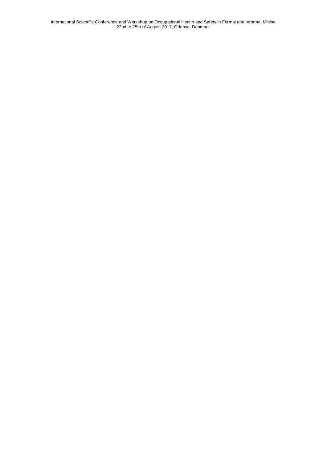International Scientific Conference and Workshop on Occupational Health and Safety in Formal and Informal Mining 22nd to 25th of August 2017, Odense, Denmark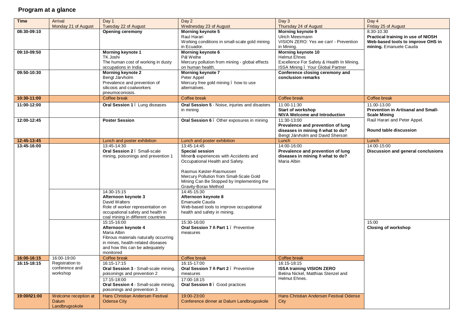#### **Program at a glance**

| <b>Time</b>                | Arrival<br>Monday 21 of August                  | Day 1<br>Tuesday 22 of August                                                                                                                                                  | Day 2<br>Wednesday 23 of August                                                                                                                                                                                                                               | Day 3<br>Thursday 24 of August                                                                                                     | Day 4<br>Friday 25 of August                                                                                    |
|----------------------------|-------------------------------------------------|--------------------------------------------------------------------------------------------------------------------------------------------------------------------------------|---------------------------------------------------------------------------------------------------------------------------------------------------------------------------------------------------------------------------------------------------------------|------------------------------------------------------------------------------------------------------------------------------------|-----------------------------------------------------------------------------------------------------------------|
| 08:30-09:10                |                                                 | <b>Opening ceremony</b>                                                                                                                                                        | <b>Morning keynote 5</b><br>Raul Harari<br>Working conditions in small-scale gold mining<br>in Ecuador.                                                                                                                                                       | <b>Morning keynote 9</b><br>Ulrich Meesmann<br>VISION ZERO: Yes we can! - Prevention<br>in Mining.                                 | 8.30-10.30<br>Practical training in use of NIOSH<br>Web-based tools to improve OHS in<br>mining. Emanuele Cauda |
| 09:10-09:50                |                                                 | <b>Morning keynote 1</b><br>TK Joshi<br>The human cost of working in dusty<br>occupations in India.                                                                            | <b>Morning keynote 6</b><br>Pál Weihe<br>Mercury pollution from mining - global effects<br>on human health.                                                                                                                                                   | <b>Morning keynote 10</b><br><b>Helmut Ehnes</b><br>Excellence For Safety & Health In Mining.<br>ISSA Mining . Your Global Partner |                                                                                                                 |
| 09:50-10:30                |                                                 | <b>Morning keynote 2</b><br>Bengt Järvholm<br>Prevalence and prevention of<br>silicosis and coalworkers<br>pneumoconiosis.                                                     | <b>Morning keynote 7</b><br>Peter Appel<br>Mercury free gold mining. how to use<br>alternatives.                                                                                                                                                              | Conference closing ceremony and<br>conclusion remarks                                                                              |                                                                                                                 |
| 10:30-11:00                |                                                 | Coffee break                                                                                                                                                                   | Coffee break                                                                                                                                                                                                                                                  | Coffee break                                                                                                                       | Coffee break                                                                                                    |
| 11:00-12:00<br>12:00-12:45 |                                                 | Oral Session 1. Lung diseases<br><b>Poster Session</b>                                                                                                                         | Oral Session 5 - Noise, injuries and disasters<br>in mining<br>Oral Session 6. Other exposures in mining                                                                                                                                                      | 11:00-11:30<br>Start of workshop<br><b>NIVA Welcome and Introduction</b><br>11:30-13:00                                            | 11.00-13.00<br><b>Prevention in Artisanal and Small-</b><br><b>Scale Mining</b><br>Raúl Harari and Peter Appel. |
|                            |                                                 |                                                                                                                                                                                |                                                                                                                                                                                                                                                               | Prevalence and prevention of lung<br>diseases in mining E what to do?<br>Bengt Järvholm and David Sherson                          | Round table discussion                                                                                          |
| 12:45-13:45                |                                                 | Lunch and poster exhibition                                                                                                                                                    | Lunch and poster exhibition                                                                                                                                                                                                                                   | Lunch                                                                                                                              | Lunch                                                                                                           |
| 13:45-16:00                |                                                 | 13:45-14:30<br>Oral Session 2. Small-scale<br>mining, poisonings and prevention 1                                                                                              | 13:45-14:45<br><b>Special session</b><br>Mineros experiences with Accidents and<br>Occupational Health and Safety.<br>Rasmus Køster-Rasmussen<br>Mercury Pollution from Small-Scale Gold<br>Mining Can Be Stopped by Implementing the<br>Gravity-Borax Method | 14:00-16:00<br>Prevalence and prevention of lung<br>diseases in mining E what to do?<br>Maria Albin                                | 14:00-15:00<br>Discussion and general conclusions                                                               |
|                            |                                                 | 14:30-15:15<br>Afternoon keynote 3<br>David Walters<br>Role of worker representation on<br>occupational safety and health in<br>coal mining in different countries             | 14:45-15:30<br>Afternoon keynote 8<br>Emanuele Cauda<br>Web-based tools to improve occupational<br>health and safety in mining.                                                                                                                               |                                                                                                                                    |                                                                                                                 |
|                            |                                                 | 15:15-16:00<br>Afternoon keynote 4<br>Maria Albin<br>Fibrous materials naturally occurring<br>in mines, health-related diseases<br>and how this can be adequately<br>monitored | 15:30-16:00<br>Oral Session 7 E Part 1 . Preventive<br>measures                                                                                                                                                                                               |                                                                                                                                    | 15:00<br><b>Closing of workshop</b>                                                                             |
| 16:00-16:15                | 16:00-19:00                                     | Coffee break                                                                                                                                                                   | Coffee break                                                                                                                                                                                                                                                  | Coffee break                                                                                                                       |                                                                                                                 |
| 16:15-18:15                | Registration to<br>conference and<br>workshop   | 16:15-17:15<br>Oral Session 3 - Small-scale mining,<br>poisonings and prevention 2<br>17:15-18:00<br>Oral Session 4 - Small-scale mining,<br>poisonings and prevention 3       | 16:15-17:00<br>Oral Session 7 E Part 2. Preventive<br>measures<br>17:00-18:15<br>Oral Session 8. Good practices                                                                                                                                               | 16:15-18:15<br><b>ISSA training VISION ZERO</b><br>Betina Nickel, Matthias Stenzel and<br>Helmut Ehnes.                            |                                                                                                                 |
| 19:00E21:00                | Welcome reception at<br>Dalum<br>Landbrugsskole | Hans Christian Andersen Festival<br><b>Odense City</b>                                                                                                                         | 19:00-23:00<br>Conference dinner at Dalum Landbrugsskole                                                                                                                                                                                                      | Hans Christian Andersen Festival Odense<br>City                                                                                    |                                                                                                                 |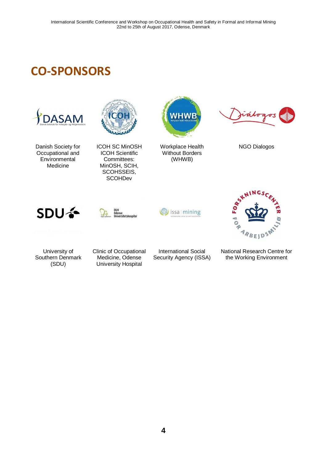## **CO-SPONSORS**



Danish Society for Occupational and Environmental Medicine



ICOH SC MinOSH ICOH Scientific Committees: MinOSH, SCIH, SCOHSSEIS, **SCOHDev** 



Workplace Health Without Borders (WHWB)



NGO Dialogos

 $SDU$   $\leq$ 







University of Southern Denmark (SDU)

Clinic of Occupational Medicine, Odense University Hospital

International Social Security Agency (ISSA) National Research Centre for the Working Environment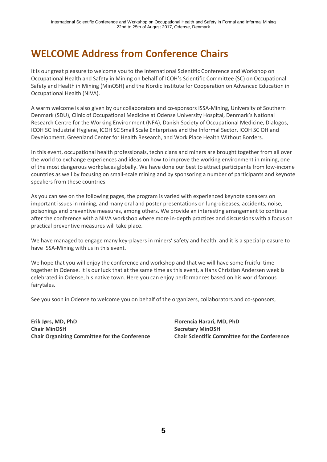## **WELCOME Address from Conference Chairs**

It is our great pleasure to welcome you to the International Scientific Conference and Workshop on Occupational Health and Safety in Mining on behalf of ICOH's Scientific Committee (SC) on Occupational Safety and Health in Mining (MinOSH) and the Nordic Institute for Cooperation on Advanced Education in Occupational Health (NIVA).

A warm welcome is also given by our collaborators and co-sponsors ISSA-Mining, University of Southern Denmark (SDU), Clinic of Occupational Medicine at Odense University Hospital, Denmark's National Research Centre for the Working Environment (NFA), Danish Society of Occupational Medicine, Dialogos, ICOH SC Industrial Hygiene, ICOH SC Small Scale Enterprises and the Informal Sector, ICOH SC OH and Development, Greenland Center for Health Research, and Work Place Health Without Borders.

In this event, occupational health professionals, technicians and miners are brought together from all over the world to exchange experiences and ideas on how to improve the working environment in mining, one of the most dangerous workplaces globally. We have done our best to attract participants from low-income countries as well by focusing on small-scale mining and by sponsoring a number of participants and keynote speakers from these countries.

As you can see on the following pages, the program is varied with experienced keynote speakers on important issues in mining, and many oral and poster presentations on lung-diseases, accidents, noise, poisonings and preventive measures, among others. We provide an interesting arrangement to continue after the conference with a NIVA workshop where more in-depth practices and discussions with a focus on practical preventive measures will take place.

We have managed to engage many key-players in miners' safety and health, and it is a special pleasure to have ISSA-Mining with us in this event.

We hope that you will enjoy the conference and workshop and that we will have some fruitful time together in Odense. It is our luck that at the same time as this event, a Hans Christian Andersen week is celebrated in Odense, his native town. Here you can enjoy performances based on his world famous fairytales.

See you soon in Odense to welcome you on behalf of the organizers, collaborators and co-sponsors,

**Erik Jørs, MD, PhD Florencia Harari, MD, PhD Chair MinOSH Secretary MinOSH Chair Organizing Committee for the Conference Chair Scientific Committee for the Conference**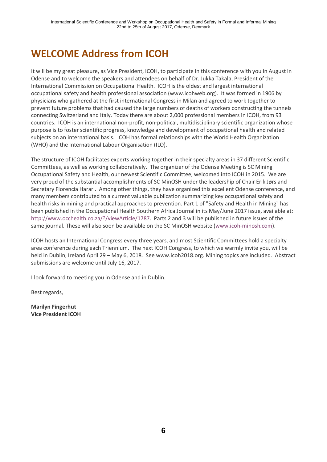## **WELCOME Address from ICOH**

It will be my great pleasure, as Vice President, ICOH, to participate in this conference with you in August in Odense and to welcome the speakers and attendees on behalf of Dr. Jukka Takala, President of the International Commission on Occupational Health. ICOH is the oldest and largest international occupational safety and health professional association (www.icohweb.org). It was formed in 1906 by physicians who gathered at the first international Congress in Milan and agreed to work together to prevent future problems that had caused the large numbers of deaths of workers constructing the tunnels connecting Switzerland and Italy. Today there are about 2,000 professional members in ICOH, from 93 countries. ICOH is an international non-profit, non-political, multidisciplinary scientific organization whose purpose is to foster scientific progress, knowledge and development of occupational health and related subjects on an international basis. ICOH has formal relationships with the World Health Organization (WHO) and the International Labour Organisation (ILO).

The structure of ICOH facilitates experts working together in their specialty areas in 37 different Scientific Committees, as well as working collaboratively. The organizer of the Odense Meeting is SC Mining Occupational Safety and Health, our newest Scientific Committee, welcomed into ICOH in 2015. We are very proud of the substantial accomplishments of SC MinOSH under the leadership of Chair Erik Jørs and Secretary Florencia Harari. Among other things, they have organized this excellent Odense conference, and many members contributed to a current valuable publication summarizing key occupational safety and health risks in mining and practical approaches to prevention. Part 1 of "Safety and Health in Mining" has been published in the Occupational Health Southern Africa Journal in its May/June 2017 issue, available at: http://www.occhealth.co.za/?/viewArticle/1787. Parts 2 and 3 will be published in future issues of the same journal. These will also soon be available on the SC MinOSH website (www.icoh-minosh.com).

ICOH hosts an International Congress every three years, and most Scientific Committees hold a specialty area conference during each Triennium. The next ICOH Congress, to which we warmly invite you, will be held in Dublin, Ireland April 29 – May 6, 2018. See www.icoh2018.org. Mining topics are included. Abstract submissions are welcome until July 16, 2017.

I look forward to meeting you in Odense and in Dublin.

Best regards,

**Marilyn Fingerhut Vice President ICOH**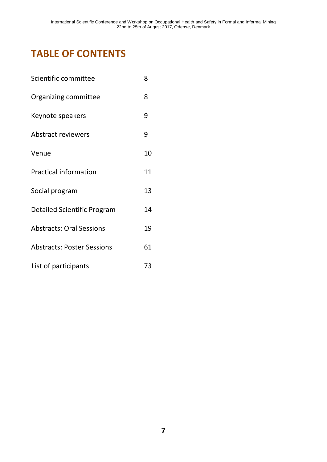## **TABLE OF CONTENTS**

Scientific committee 8 Organizing committee 8 Keynote speakers and the set of the Separate Security of the Security of the Security of the Security of the S Abstract reviewers 9 Venue 10 Practical information 11 Social program 13 Detailed Scientific Program 14 Abstracts: Oral Sessions 19 Abstracts: Poster Sessions 61 List of participants 73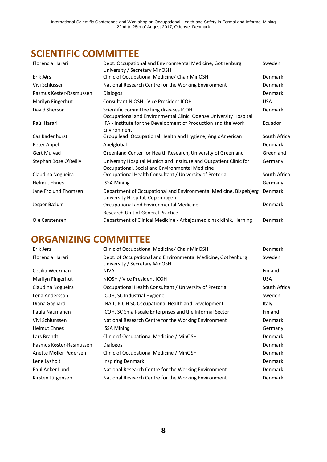## **SCIENTIFIC COMMITTEE**

| Florencia Harari        | Dept. Occupational and Environmental Medicine, Gothenburg<br>University / Secretary MinOSH                                          | Sweden         |
|-------------------------|-------------------------------------------------------------------------------------------------------------------------------------|----------------|
| Erik Jørs               | Clinic of Occupational Medicine/ Chair MinOSH                                                                                       | Denmark        |
| Vivi Schlüssen          | National Research Centre for the Working Environment                                                                                | <b>Denmark</b> |
| Rasmus Køster-Rasmussen | <b>Dialogos</b>                                                                                                                     | Denmark        |
| Marilyn Fingerhut       | Consultant NIOSH - Vice President ICOH                                                                                              | <b>USA</b>     |
| David Sherson           | Scientific committee lung diseases ICOH                                                                                             | Denmark        |
| Raúl Harari             | Occupational and Environmental Clinic, Odense University Hospital<br>IFA - Institute for the Development of Production and the Work | Ecuador        |
|                         | Environment                                                                                                                         |                |
| Cas Badenhurst          | Group lead: Occupational Health and Hygiene, AngloAmerican                                                                          | South Africa   |
| Peter Appel             | Apelglobal                                                                                                                          | Denmark        |
| Gert Mulvad             | Greenland Center for Health Research, University of Greenland                                                                       | Greenland      |
| Stephan Bose O'Reilly   | University Hospital Munich and Institute and Outpatient Clinic for<br>Occupational, Social and Environmental Medicine               | Germany        |
| Claudina Nogueira       | Occupational Health Consultant / University of Pretoria                                                                             | South Africa   |
| <b>Helmut Ehnes</b>     | <b>ISSA Mining</b>                                                                                                                  | Germany        |
| Jane Frølund Thomsen    | Department of Occupational and Environmental Medicine, Bispebjerg<br>University Hospital, Copenhagen                                | Denmark        |
| Jesper Bælum            | Occupational and Environmental Medicine                                                                                             | <b>Denmark</b> |
|                         | Research Unit of General Practice                                                                                                   |                |
| Ole Carstensen          | Department of Clinical Medicine - Arbejdsmedicinsk klinik, Herning                                                                  | <b>Denmark</b> |

### **ORGANIZING COMMITTEE**

| Erik Jørs               | Clinic of Occupational Medicine/ Chair MinOSH                                                 | Denmark        |
|-------------------------|-----------------------------------------------------------------------------------------------|----------------|
| Florencia Harari        | Dept. of Occupational and Environmental Medicine, Gothenburg<br>University / Secretary MinOSH | Sweden         |
| Cecilia Weckman         | <b>NIVA</b>                                                                                   | <b>Finland</b> |
| Marilyn Fingerhut       | NIOSH / Vice President ICOH                                                                   | <b>USA</b>     |
| Claudina Nogueira       | Occupational Health Consultant / University of Pretoria                                       | South Africa   |
| Lena Andersson          | ICOH, SC Industrial Hygiene                                                                   | Sweden         |
| Diana Gagliardi         | INAIL, ICOH SC Occupational Health and Development                                            | Italy          |
| Paula Naumanen          | ICOH, SC Small-scale Enterprises and the Informal Sector                                      | Finland        |
| Vivi Schlünssen         | National Research Centre for the Working Environment                                          | <b>Denmark</b> |
| <b>Helmut Ehnes</b>     | <b>ISSA Mining</b>                                                                            | Germany        |
| Lars Brandt             | Clinic of Occupational Medicine / MinOSH                                                      | <b>Denmark</b> |
| Rasmus Køster-Rasmussen | <b>Dialogos</b>                                                                               | <b>Denmark</b> |
| Anette Møller Pedersen  | Clinic of Occupational Medicine / MinOSH                                                      | <b>Denmark</b> |
| Lene Lysholt            | Inspiring Denmark                                                                             | <b>Denmark</b> |
| Paul Anker Lund         | National Research Centre for the Working Environment                                          | <b>Denmark</b> |
| Kirsten Jürgensen       | National Research Centre for the Working Environment                                          | Denmark        |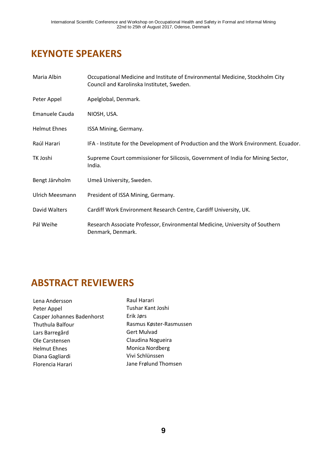## **KEYNOTE SPEAKERS**

| Maria Albin         | Occupational Medicine and Institute of Environmental Medicine, Stockholm City<br>Council and Karolinska Institutet, Sweden. |
|---------------------|-----------------------------------------------------------------------------------------------------------------------------|
| Peter Appel         | Apelglobal, Denmark.                                                                                                        |
| Emanuele Cauda      | NIOSH, USA.                                                                                                                 |
| <b>Helmut Ehnes</b> | ISSA Mining, Germany.                                                                                                       |
| Raúl Harari         | IFA - Institute for the Development of Production and the Work Environment. Ecuador.                                        |
| TK Joshi            | Supreme Court commissioner for Silicosis, Government of India for Mining Sector,<br>India.                                  |
| Bengt Järvholm      | Umeå University, Sweden.                                                                                                    |
| Ulrich Meesmann     | President of ISSA Mining, Germany.                                                                                          |
| David Walters       | Cardiff Work Environment Research Centre, Cardiff University, UK.                                                           |
| Pál Weihe           | Research Associate Professor, Environmental Medicine, University of Southern<br>Denmark, Denmark.                           |

## **ABSTRACT REVIEWERS**

| Lena Andersson             | Raul Harari             |
|----------------------------|-------------------------|
| Peter Appel                | Tushar Kant Joshi       |
| Casper Johannes Badenhorst | Erik Jørs               |
| Thuthula Balfour           | Rasmus Køster-Rasmussen |
| Lars Barregård             | <b>Gert Mulvad</b>      |
| Ole Carstensen             | Claudina Nogueira       |
| <b>Helmut Ehnes</b>        | Monica Nordberg         |
| Diana Gagliardi            | Vivi Schlünssen         |
| Florencia Harari           | Jane Frølund Thomsen    |
|                            |                         |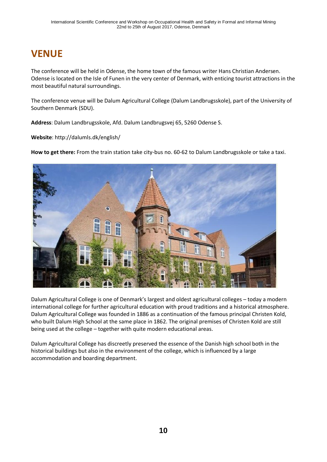## **VENUE**

The conference will be held in Odense, the home town of the famous writer Hans Christian Andersen. Odense is located on the Isle of Funen in the very center of Denmark, with enticing tourist attractions in the most beautiful natural surroundings.

The conference venue will be Dalum Agricultural College (Dalum Landbrugsskole), part of the University of Southern Denmark (SDU).

**Address**: Dalum Landbrugsskole, Afd. Dalum Landbrugsvej 65, 5260 Odense S.

**Website**: http://dalumls.dk/english/

**How to get there:** From the train station take city-bus no. 60-62 to Dalum Landbrugsskole or take a taxi.



Dalum Agricultural College is one of Denmark's largest and oldest agricultural colleges – today a modern international college for further agricultural education with proud traditions and a historical atmosphere. Dalum Agricultural College was founded in 1886 as a continuation of the famous principal Christen Kold, who built Dalum High School at the same place in 1862. The original premises of Christen Kold are still being used at the college – together with quite modern educational areas.

Dalum Agricultural College has discreetly preserved the essence of the Danish high school both in the historical buildings but also in the environment of the college, which is influenced by a large accommodation and boarding department.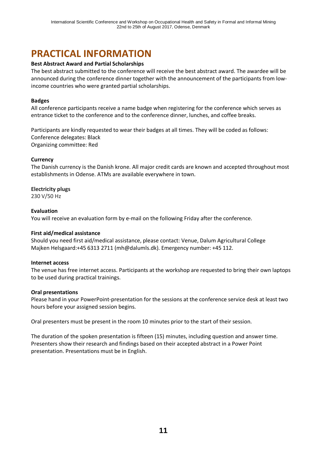## **PRACTICAL INFORMATION**

#### **Best Abstract Award and Partial Scholarships**

The best abstract submitted to the conference will receive the best abstract award. The awardee will be announced during the conference dinner together with the announcement of the participants from lowincome countries who were granted partial scholarships.

#### **Badges**

All conference participants receive a name badge when registering for the conference which serves as entrance ticket to the conference and to the conference dinner, lunches, and coffee breaks.

Participants are kindly requested to wear their badges at all times. They will be coded as follows: Conference delegates: Black Organizing committee: Red

#### **Currency**

The Danish currency is the Danish krone. All major credit cards are known and accepted throughout most establishments in Odense. ATMs are available everywhere in town.

#### **Electricity plugs**

230 V/50 Hz

#### **Evaluation**

You will receive an evaluation form by e-mail on the following Friday after the conference.

#### **First aid/medical assistance**

Should you need first aid/medical assistance, please contact: Venue, Dalum Agricultural College Majken Helsgaard:+45 6313 2711 (mh@dalumls.dk). Emergency number: +45 112.

#### **Internet access**

The venue has free internet access. Participants at the workshop are requested to bring their own laptops to be used during practical trainings.

#### **Oral presentations**

Please hand in your PowerPoint-presentation for the sessions at the conference service desk at least two hours before your assigned session begins.

Oral presenters must be present in the room 10 minutes prior to the start of their session.

The duration of the spoken presentation is fifteen (15) minutes, including question and answer time. Presenters show their research and findings based on their accepted abstract in a Power Point presentation. Presentations must be in English.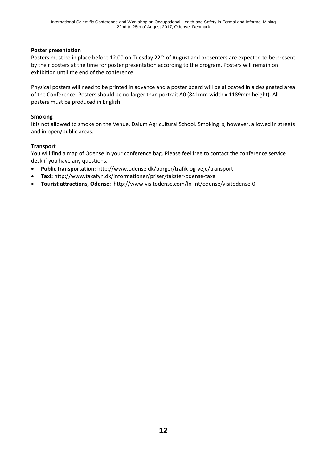#### **Poster presentation**

Posters must be in place before 12.00 on Tuesday 22<sup>nd</sup> of August and presenters are expected to be present by their posters at the time for poster presentation according to the program. Posters will remain on exhibition until the end of the conference.

Physical posters will need to be printed in advance and a poster board will be allocated in a designated area of the Conference. Posters should be no larger than portrait A0 (841mm width x 1189mm height). All posters must be produced in English.

#### **Smoking**

It is not allowed to smoke on the Venue, Dalum Agricultural School. Smoking is, however, allowed in streets and in open/public areas.

#### **Transport**

You will find a map of Odense in your conference bag. Please feel free to contact the conference service desk if you have any questions.

- · **Public transportation:** http://www.odense.dk/borger/trafik-og-veje/transport
- · **Taxi:** http://www.taxafyn.dk/informationer/priser/takster-odense-taxa
- · **Tourist attractions, Odense**: http://www.visitodense.com/ln-int/odense/visitodense-0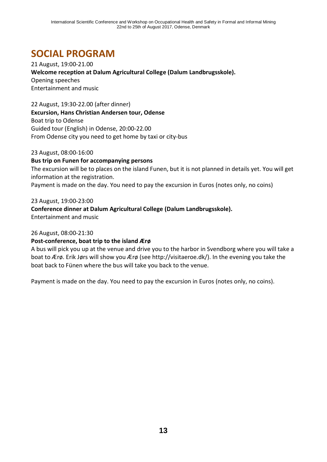## **SOCIAL PROGRAM**

21 August, 19:00-21.00 **Welcome reception at Dalum Agricultural College (Dalum Landbrugsskole).** Opening speeches Entertainment and music

22 August, 19:30-22.00 (after dinner) **Excursion, Hans Christian Andersen tour, Odense** Boat trip to Odense Guided tour (English) in Odense, 20:00-22.00 From Odense city you need to get home by taxi or city-bus

23 August, 08:00-16:00

#### **Bus trip on Funen for accompanying persons**

The excursion will be to places on the island Funen, but it is not planned in details yet. You will get information at the registration.

Payment is made on the day. You need to pay the excursion in Euros (notes only, no coins)

23 August, 19:00-23:00

#### **Conference dinner at Dalum Agricultural College (Dalum Landbrugsskole).**

Entertainment and music

26 August, 08:00-21:30

#### **Post-conference, boat trip to the island Ærø**

A bus will pick you up at the venue and drive you to the harbor in Svendborg where you will take a boat to Ærø. Erik Jørs will show you Ærø (see http://visitaeroe.dk/). In the evening you take the boat back to Fünen where the bus will take you back to the venue.

Payment is made on the day. You need to pay the excursion in Euros (notes only, no coins).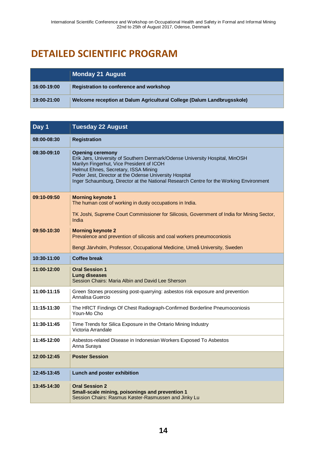## **DETAILED SCIENTIFIC PROGRAM**

|             | <b>Monday 21 August</b>                                                |
|-------------|------------------------------------------------------------------------|
| 16:00-19:00 | Registration to conference and workshop                                |
| 19:00-21:00 | Welcome reception at Dalum Agricultural College (Dalum Landbrugsskole) |

| Day 1       | <b>Tuesday 22 August</b>                                                                                                                                                                                                                                                                                                                         |
|-------------|--------------------------------------------------------------------------------------------------------------------------------------------------------------------------------------------------------------------------------------------------------------------------------------------------------------------------------------------------|
| 08:00-08:30 | <b>Registration</b>                                                                                                                                                                                                                                                                                                                              |
| 08:30-09:10 | <b>Opening ceremony</b><br>Erik Jørs, University of Southern Denmark/Odense University Hospital, MinOSH<br>Marilyn Fingerhut, Vice President of ICOH<br>Helmut Ehnes, Secretary, ISSA Mining<br>Peder Jest, Director at the Odense University Hospital<br>Inger Schaumburg, Director at the National Research Centre for the Working Environment |
| 09:10-09:50 | <b>Morning keynote 1</b><br>The human cost of working in dusty occupations in India.<br>TK Joshi, Supreme Court Commissioner for Silicosis, Government of India for Mining Sector,<br>India                                                                                                                                                      |
| 09:50-10:30 | <b>Morning keynote 2</b><br>Prevalence and prevention of silicosis and coal workers pneumoconiosis<br>Bengt Järvholm, Professor, Occupational Medicine, Umeå University, Sweden                                                                                                                                                                  |
| 10:30-11:00 | <b>Coffee break</b>                                                                                                                                                                                                                                                                                                                              |
| 11:00-12:00 | <b>Oral Session 1</b><br>Lung diseases<br>Session Chairs: Maria Albin and David Lee Sherson                                                                                                                                                                                                                                                      |
| 11:00-11:15 | Green Stones processing post-quarrying: asbestos risk exposure and prevention<br>Annalisa Guercio                                                                                                                                                                                                                                                |
| 11:15-11:30 | The HRCT Findings Of Chest Radiograph-Confirmed Borderline Pneumoconiosis<br>Youn-Mo Cho                                                                                                                                                                                                                                                         |
| 11:30-11:45 | Time Trends for Silica Exposure in the Ontario Mining Industry<br>Victoria Arrandale                                                                                                                                                                                                                                                             |
| 11:45-12:00 | Asbestos-related Disease in Indonesian Workers Exposed To Asbestos<br>Anna Suraya                                                                                                                                                                                                                                                                |
| 12:00-12:45 | <b>Poster Session</b>                                                                                                                                                                                                                                                                                                                            |
| 12:45-13:45 | Lunch and poster exhibition                                                                                                                                                                                                                                                                                                                      |
| 13:45-14:30 | <b>Oral Session 2</b><br>Small-scale mining, poisonings and prevention 1<br>Session Chairs: Rasmus Køster-Rasmussen and Jinky Lu                                                                                                                                                                                                                 |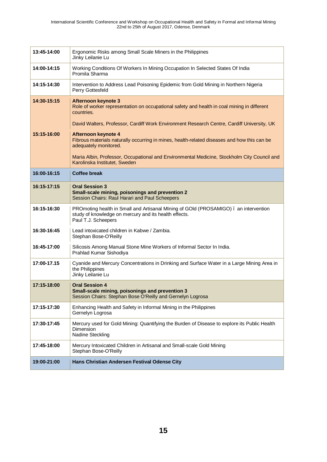| 13:45-14:00 | Ergonomic Risks among Small Scale Miners in the Philippines<br>Jinky Leilanie Lu                                                                                                                                                                                            |
|-------------|-----------------------------------------------------------------------------------------------------------------------------------------------------------------------------------------------------------------------------------------------------------------------------|
| 14:00-14:15 | Working Conditions Of Workers In Mining Occupation In Selected States Of India<br>Promila Sharma                                                                                                                                                                            |
| 14:15-14:30 | Intervention to Address Lead Poisoning Epidemic from Gold Mining in Northern Nigeria<br>Perry Gottesfeld                                                                                                                                                                    |
| 14:30-15:15 | Afternoon keynote 3<br>Role of worker representation on occupational safety and health in coal mining in different<br>countries.                                                                                                                                            |
|             | David Walters, Professor, Cardiff Work Environment Research Centre, Cardiff University, UK                                                                                                                                                                                  |
| 15:15-16:00 | Afternoon keynote 4<br>Fibrous materials naturally occurring in mines, health-related diseases and how this can be<br>adequately monitored.<br>Maria Albin, Professor, Occupational and Environmental Medicine, Stockholm City Council and<br>Karolinska Institutet, Sweden |
| 16:00-16:15 | <b>Coffee break</b>                                                                                                                                                                                                                                                         |
| 16:15-17:15 | <b>Oral Session 3</b><br>Small-scale mining, poisonings and prevention 2<br>Session Chairs: Raul Harari and Paul Scheepers                                                                                                                                                  |
| 16:15-16:30 | PROmoting health in Small and Artisanal MIning of GOId (PROSAMIGO). an intervention<br>study of knowledge on mercury and its health effects.<br>Paul T.J. Scheepers                                                                                                         |
| 16:30-16:45 | Lead intoxicated children in Kabwe / Zambia.<br>Stephan Bose-O'Reilly                                                                                                                                                                                                       |
| 16:45-17:00 | Silicosis Among Manual Stone Mine Workers of Informal Sector In India.<br>Prahlad Kumar Sishodiya                                                                                                                                                                           |
| 17:00-17.15 | Cyanide and Mercury Concentrations in Drinking and Surface Water in a Large Mining Area in<br>the Philippines<br>Jinky Leilanie Lu                                                                                                                                          |
| 17:15-18:00 | <b>Oral Session 4</b><br>Small-scale mining, poisonings and prevention 3<br>Session Chairs: Stephan Bose O'Reilly and Gernelyn Logrosa                                                                                                                                      |
| 17:15-17:30 | Enhancing Health and Safety in Informal Mining in the Philippines<br>Gernelyn Logrosa                                                                                                                                                                                       |
| 17:30-17:45 | Mercury used for Gold Mining: Quantifying the Burden of Disease to explore its Public Health<br>Dimension<br>Nadine Steckling                                                                                                                                               |
| 17:45-18:00 | Mercury Intoxicated Children in Artisanal and Small-scale Gold Mining<br>Stephan Bose-O'Reilly                                                                                                                                                                              |
| 19:00-21:00 | Hans Christian Andersen Festival Odense City                                                                                                                                                                                                                                |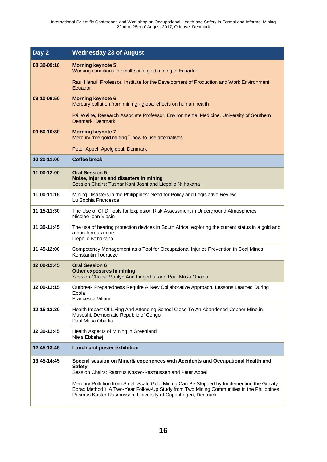| Day 2       | <b>Wednesday 23 of August</b>                                                                                                                                                                                                                         |
|-------------|-------------------------------------------------------------------------------------------------------------------------------------------------------------------------------------------------------------------------------------------------------|
| 08:30-09:10 | <b>Morning keynote 5</b><br>Working conditions in small-scale gold mining in Ecuador                                                                                                                                                                  |
|             | Raul Harari, Professor, Institute for the Development of Production and Work Environment,<br>Ecuador                                                                                                                                                  |
| 09:10-09:50 | <b>Morning keynote 6</b><br>Mercury pollution from mining - global effects on human health                                                                                                                                                            |
|             | Pál Weihe, Research Associate Professor, Environmental Medicine, University of Southern<br>Denmark, Denmark                                                                                                                                           |
| 09:50-10:30 | <b>Morning keynote 7</b><br>Mercury free gold mining. how to use alternatives                                                                                                                                                                         |
|             | Peter Appel, Apelglobal, Denmark                                                                                                                                                                                                                      |
| 10:30-11:00 | <b>Coffee break</b>                                                                                                                                                                                                                                   |
| 11:00-12:00 | <b>Oral Session 5</b><br>Noise, injuries and disasters in mining<br>Session Chairs: Tushar Kant Joshi and Liepollo Ntlhakana                                                                                                                          |
| 11:00-11:15 | Mining Disasters in the Philippines: Need for Policy and Legislative Review<br>Lu Sophia Francesca                                                                                                                                                    |
| 11:15-11:30 | The Use of CFD Tools for Explosion Risk Assessment in Underground Atmospheres<br>Nicolae Ioan Vlasin                                                                                                                                                  |
| 11:30-11:45 | The use of hearing protection devices in South Africa: exploring the current status in a gold and<br>a non-ferrous mine<br>Liepollo Ntlhakana                                                                                                         |
| 11:45-12:00 | Competency Management as a Tool for Occupational Injuries Prevention in Coal Mines<br>Konstantin Todradze                                                                                                                                             |
| 12:00-12:45 | <b>Oral Session 6</b><br>Other exposures in mining<br>Session Chairs: Marilyn Ann Fingerhut and Paul Musa Obadia                                                                                                                                      |
| 12:00-12:15 | Outbreak Preparedness Require A New Collaborative Approach, Lessons Learned During<br>Ebola<br>Francesca Viliani                                                                                                                                      |
| 12:15-12:30 | Health Impact Of Living And Attending School Close To An Abandoned Copper Mine in<br>Musoshi, Democratic Republic of Congo<br>Paul Musa Obadia                                                                                                        |
| 12:30-12:45 | Health Aspects of Mining in Greenland<br>Niels Ebbehøj                                                                                                                                                                                                |
| 12:45-13:45 | Lunch and poster exhibition                                                                                                                                                                                                                           |
| 13:45-14:45 | Special session on MinerB experiences with Accidents and Occupational Health and<br>Safety.<br>Session Chairs: Rasmus Køster-Rasmussen and Peter Appel                                                                                                |
|             | Mercury Pollution from Small-Scale Gold Mining Can Be Stopped by Implementing the Gravity-<br>Borax Method . A Two-Year Follow-Up Study from Two Mining Communities in the Philippines<br>Rasmus Køster-Rasmussen, University of Copenhagen, Denmark. |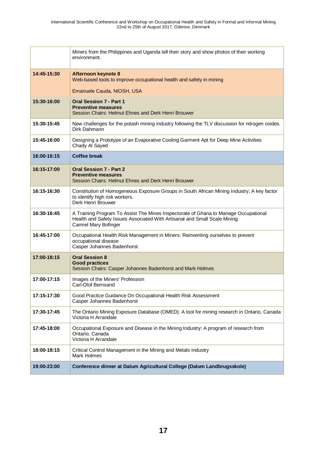|             | Miners from the Philippines and Uganda tell their story and show photos of their working<br>environment.                                                                                  |
|-------------|-------------------------------------------------------------------------------------------------------------------------------------------------------------------------------------------|
| 14:45-15:30 | Afternoon keynote 8<br>Web-based tools to improve occupational health and safety in mining                                                                                                |
|             | Emanuele Cauda, NIOSH, USA                                                                                                                                                                |
| 15:30-16:00 | <b>Oral Session 7 - Part 1</b><br><b>Preventive measures</b><br>Session Chairs: Helmut Ehnes and Derk Henri Brouwer                                                                       |
| 15:30-15:45 | New challenges for the potash mining industry following the TLV discussion for nitrogen oxides.<br>Dirk Dahmann                                                                           |
| 15:45-16:00 | Designing a Prototype of an Evaporative Cooling Garment Apt for Deep Mine Activities<br>Chady Al Sayed                                                                                    |
| 16:00-16:15 | <b>Coffee break</b>                                                                                                                                                                       |
| 16:15-17:00 | <b>Oral Session 7 - Part 2</b><br><b>Preventive measures</b><br>Session Chairs: Helmut Ehnes and Derk Henri Brouwer                                                                       |
| 16:15-16:30 | Constitution of Homogeneous Exposure Groups in South African Mining Industry; A key factor<br>to identify high risk workers.<br>Derk Henri Brouwer                                        |
| 16:30-16:45 | A Training Program To Assist The Mines Inspectorate of Ghana to Manage Occupational<br>Health and Safety Issues Associated With Artisanal and Small Scale Mining.<br>Carmel Mary Bofinger |
| 16:45-17:00 | Occupational Health Risk Management in Miners: Reinventing ourselves to prevent<br>occupational disease<br>Casper Johannes Badenhorst                                                     |
| 17:00-18:15 | <b>Oral Session 8</b><br><b>Good practices</b><br>Session Chairs: Casper Johannes Badenhorst and Mark Holmes                                                                              |
| 17:00-17:15 | Images of the Miners' Profession<br>Carl-Olof Bernsand                                                                                                                                    |
| 17:15-17:30 | Good Practice Guidance On Occupational Health Risk Assessment<br>Casper Johannes Badenhorst                                                                                               |
| 17:30-17:45 | The Ontario Mining Exposure Database (OMED): A tool for mining research in Ontario, Canada<br>Victoria H Arrandale                                                                        |
| 17:45-18:00 | Occupational Exposure and Disease in the Mining Industry: A program of research from<br>Ontario, Canada<br>Victoria H Arrandale                                                           |
| 18:00-18:15 | Critical Control Management in the Mining and Metals Industry<br><b>Mark Holmes</b>                                                                                                       |
| 19:00-23:00 | Conference dinner at Dalum Agricultural College (Dalum Landbrugsskole)                                                                                                                    |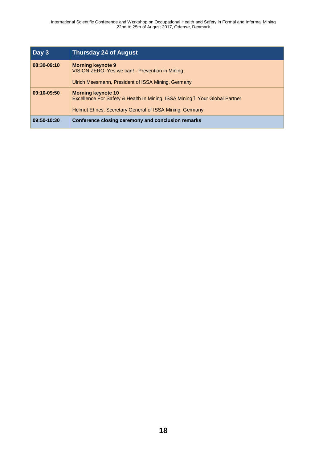| $\vert$ Day 3 | <b>Thursday 24 of August</b>                                                                                                                                       |
|---------------|--------------------------------------------------------------------------------------------------------------------------------------------------------------------|
| 08:30-09:10   | <b>Morning keynote 9</b><br>VISION ZERO: Yes we can! - Prevention in Mining<br>Ulrich Meesmann, President of ISSA Mining, Germany                                  |
| 09:10-09:50   | <b>Morning keynote 10</b><br>Excellence For Safety & Health In Mining. ISSA Mining. Your Global Partner<br>Helmut Ehnes, Secretary General of ISSA Mining, Germany |
| 09:50-10:30   | Conference closing ceremony and conclusion remarks                                                                                                                 |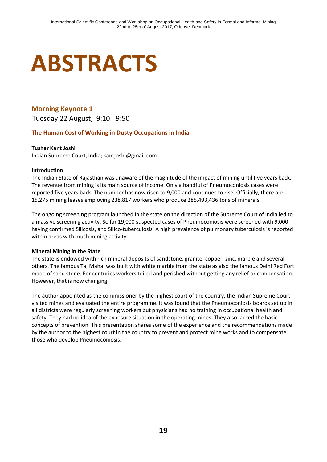## **ABSTRACTS**

#### **Morning Keynote 1** Tuesday 22 August, 9:10 - 9:50

#### **The Human Cost of Working in Dusty Occupations in India**

#### **Tushar Kant Joshi**

Indian Supreme Court, India; kantjoshi@gmail.com

#### **Introduction**

The Indian State of Rajasthan was unaware of the magnitude of the impact of mining until five years back. The revenue from mining is its main source of income. Only a handful of Pneumoconiosis cases were reported five years back. The number has now risen to 9,000 and continues to rise. Officially, there are 15,275 mining leases employing 238,817 workers who produce 285,493,436 tons of minerals.

The ongoing screening program launched in the state on the direction of the Supreme Court of India led to a massive screening activity. So far 19,000 suspected cases of Pneumoconiosis were screened with 9,000 having confirmed Silicosis, and Silico-tuberculosis. A high prevalence of pulmonary tuberculosis is reported within areas with much mining activity.

#### **Mineral Mining in the State**

The state is endowed with rich mineral deposits of sandstone, granite, copper, zinc, marble and several others. The famous Taj Mahal was built with white marble from the state as also the famous Delhi Red Fort made of sand stone. For centuries workers toiled and perished without getting any relief or compensation. However, that is now changing.

The author appointed as the commissioner by the highest court of the country, the Indian Supreme Court, visited mines and evaluated the entire programme. It was found that the Pneumoconiosis boards set up in all districts were regularly screening workers but physicians had no training in occupational health and safety. They had no idea of the exposure situation in the operating mines. They also lacked the basic concepts of prevention. This presentation shares some of the experience and the recommendations made by the author to the highest court in the country to prevent and protect mine works and to compensate those who develop Pneumoconiosis.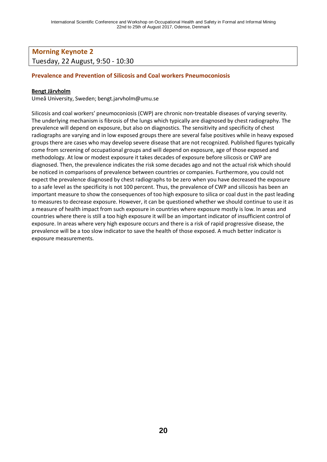**Morning Keynote 2** Tuesday, 22 August, 9:50 - 10:30

#### **Prevalence and Prevention of Silicosis and Coal workers Pneumoconiosis**

#### **Bengt Järvholm**

Umeå University, Sweden; bengt.jarvholm@umu.se

Silicosis and coal workers' pneumoconiosis (CWP) are chronic non-treatable diseases of varying severity. The underlying mechanism is fibrosis of the lungs which typically are diagnosed by chest radiography. The prevalence will depend on exposure, but also on diagnostics. The sensitivity and specificity of chest radiographs are varying and in low exposed groups there are several false positives while in heavy exposed groups there are cases who may develop severe disease that are not recognized. Published figures typically come from screening of occupational groups and will depend on exposure, age of those exposed and methodology. At low or modest exposure it takes decades of exposure before silicosis or CWP are diagnosed. Then, the prevalence indicates the risk some decades ago and not the actual risk which should be noticed in comparisons of prevalence between countries or companies. Furthermore, you could not expect the prevalence diagnosed by chest radiographs to be zero when you have decreased the exposure to a safe level as the specificity is not 100 percent. Thus, the prevalence of CWP and silicosis has been an important measure to show the consequences of too high exposure to silica or coal dust in the past leading to measures to decrease exposure. However, it can be questioned whether we should continue to use it as a measure of health impact from such exposure in countries where exposure mostly is low. In areas and countries where there is still a too high exposure it will be an important indicator of insufficient control of exposure. In areas where very high exposure occurs and there is a risk of rapid progressive disease, the prevalence will be a too slow indicator to save the health of those exposed. A much better indicator is exposure measurements.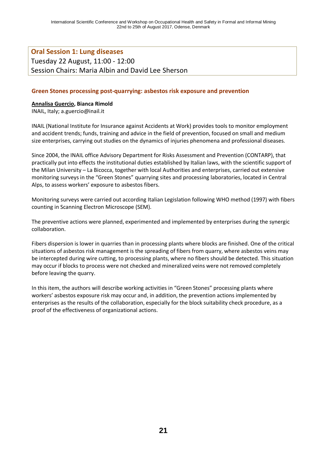#### **Oral Session 1: Lung diseases** Tuesday 22 August, 11:00 - 12:00 Session Chairs: Maria Albin and David Lee Sherson

#### **Green Stones processing post-quarrying: asbestos risk exposure and prevention**

#### **Annalisa Guercio, Bianca Rimold**

INAIL, Italy; a.guercio@inail.it

INAIL (National Institute for Insurance against Accidents at Work) provides tools to monitor employment and accident trends; funds, training and advice in the field of prevention, focused on small and medium size enterprises, carrying out studies on the dynamics of injuries phenomena and professional diseases.

Since 2004, the INAIL office Advisory Department for Risks Assessment and Prevention (CONTARP), that practically put into effects the institutional duties established by Italian laws, with the scientific support of the Milan University – La Bicocca, together with local Authorities and enterprises, carried out extensive monitoring surveys in the "Green Stones" quarrying sites and processing laboratories, located in Central Alps, to assess workers' exposure to asbestos fibers.

Monitoring surveys were carried out according Italian Legislation following WHO method (1997) with fibers counting in Scanning Electron Microscope (SEM).

The preventive actions were planned, experimented and implemented by enterprises during the synergic collaboration.

Fibers dispersion is lower in quarries than in processing plants where blocks are finished. One of the critical situations of asbestos risk management is the spreading of fibers from quarry, where asbestos veins may be intercepted during wire cutting, to processing plants, where no fibers should be detected. This situation may occur if blocks to process were not checked and mineralized veins were not removed completely before leaving the quarry.

In this item, the authors will describe working activities in "Green Stones" processing plants where workers' asbestos exposure risk may occur and, in addition, the prevention actions implemented by enterprises as the results of the collaboration, especially for the block suitability check procedure, as a proof of the effectiveness of organizational actions.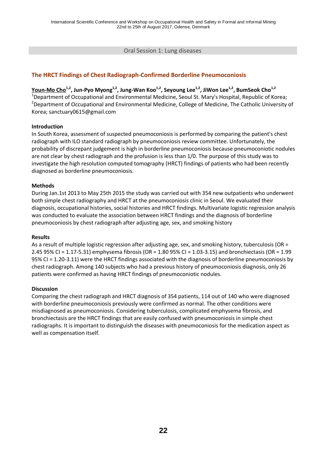Oral Session 1: Lung diseases

#### **The HRCT Findings of Chest Radiograph-Confirmed Borderline Pneumoconiosis**

Youn-Mo Cho<sup>1,2</sup>, Jun-Pyo Myong<sup>1,2</sup>, Jung-Wan Koo<sup>1,2</sup>, Seyoung Lee<sup>1,2</sup>, JiWon Lee<sup>1,2</sup>, BumSeok Cho<sup>1,2</sup> <sup>1</sup>Department of Occupational and Environmental Medicine, Seoul St. Mary's Hospital, Republic of Korea; <sup>2</sup>Department of Occupational and Environmental Medicine, College of Medicine, The Catholic University of Korea; sanctuary0615@gmail.com

#### **Introduction**

In South Korea, assessment of suspected pneumoconiosis is performed by comparing the patient's chest radiograph with ILO standard radiograph by pneumoconiosis review committee. Unfortunately, the probability of discrepant judgement is high in borderline pneumoconiosis because pneumoconiotic nodules are not clear by chest radiograph and the profusion is less than 1/0. The purpose of this study was to investigate the high resolution computed tomography (HRCT) findings of patients who had been recently diagnosed as borderline pneumoconiosis.

#### **Methods**

During Jan.1st 2013 to May 25th 2015 the study was carried out with 354 new outpatients who underwent both simple chest radiography and HRCT at the pneumoconiosis clinic in Seoul. We evaluated their diagnosis, occupational histories, social histories and HRCT findings. Multivariate logistic regression analysis was conducted to evaluate the association between HRCT findings and the diagnosis of borderline pneumoconiosis by chest radiograph after adjusting age, sex, and smoking history

#### **Results**

As a result of multiple logistic regression after adjusting age, sex, and smoking history, tuberculosis (OR  $=$ 2.45 95% CI = 1.17-5.31) emphysema fibrosis (OR = 1.80 95% CI = 1.03-3.15) and bronchiectasis (OR = 1.99 95% CI = 1.20-3.11) were the HRCT findings associated with the diagnosis of borderline pneumoconiosis by chest radiograph. Among 140 subjects who had a previous history of pneumoconiosis diagnosis, only 26 patients were confirmed as having HRCT findings of pneumoconiotic nodules.

#### **Discussion**

Comparing the chest radiograph and HRCT diagnosis of 354 patients, 114 out of 140 who were diagnosed with borderline pneumoconiosis previously were confirmed as normal. The other conditions were misdiagnosed as pneumoconiosis. Considering tuberculosis, complicated emphysema fibrosis, and bronchiectasis are the HRCT findings that are easily confused with pneumoconiosis in simple chest radiographs. It is important to distinguish the diseases with pneumoconiosis for the medication aspect as well as compensation itself.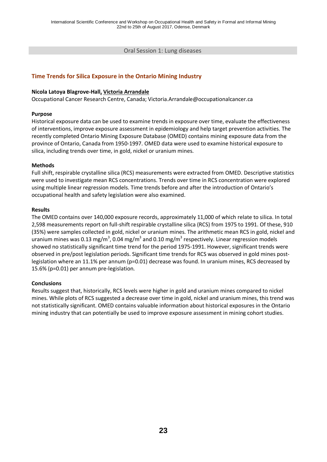#### Oral Session 1: Lung diseases

#### **Time Trends for Silica Exposure in the Ontario Mining Industry**

#### **Nicola Latoya Blagrove-Hall, Victoria Arrandale**

Occupational Cancer Research Centre, Canada; Victoria.Arrandale@occupationalcancer.ca

#### **Purpose**

Historical exposure data can be used to examine trends in exposure over time, evaluate the effectiveness of interventions, improve exposure assessment in epidemiology and help target prevention activities. The recently completed Ontario Mining Exposure Database (OMED) contains mining exposure data from the province of Ontario, Canada from 1950-1997. OMED data were used to examine historical exposure to silica, including trends over time, in gold, nickel or uranium mines.

#### **Methods**

Full shift, respirable crystalline silica (RCS) measurements were extracted from OMED. Descriptive statistics were used to investigate mean RCS concentrations. Trends over time in RCS concentration were explored using multiple linear regression models. Time trends before and after the introduction of Ontario's occupational health and safety legislation were also examined.

#### **Results**

The OMED contains over 140,000 exposure records, approximately 11,000 of which relate to silica. In total 2,598 measurements report on full-shift respirable crystalline silica (RCS) from 1975 to 1991. Of these, 910 (35%) were samples collected in gold, nickel or uranium mines. The arithmetic mean RCS in gold, nickel and uranium mines was 0.13 mg/m<sup>3</sup>, 0.04 mg/m<sup>3</sup> and 0.10 mg/m<sup>3</sup> respectively. Linear regression models showed no statistically significant time trend for the period 1975-1991. However, significant trends were observed in pre/post legislation periods. Significant time trends for RCS was observed in gold mines postlegislation where an 11.1% per annum (p=0.01) decrease was found. In uranium mines, RCS decreased by 15.6% (p=0.01) per annum pre-legislation.

#### **Conclusions**

Results suggest that, historically, RCS levels were higher in gold and uranium mines compared to nickel mines. While plots of RCS suggested a decrease over time in gold, nickel and uranium mines, this trend was not statistically significant. OMED contains valuable information about historical exposures in the Ontario mining industry that can potentially be used to improve exposure assessment in mining cohort studies.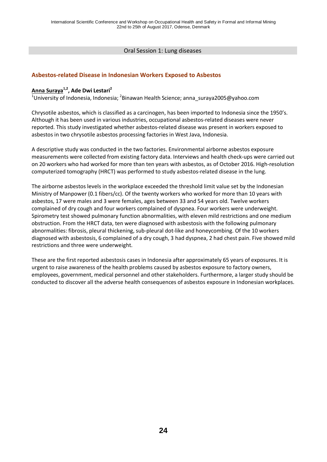#### Oral Session 1: Lung diseases

#### **Asbestos-related Disease in Indonesian Workers Exposed to Asbestos**

#### **Anna Suraya1,2, Ade Dwi Lestari2**

<sup>1</sup>University of Indonesia, Indonesia; <sup>2</sup>Binawan Health Science; anna\_suraya2005@yahoo.com

Chrysotile asbestos, which is classified as a carcinogen, has been imported to Indonesia since the 1950's. Although it has been used in various industries, occupational asbestos-related diseases were never reported. This study investigated whether asbestos-related disease was present in workers exposed to asbestos in two chrysotile asbestos processing factories in West Java, Indonesia.

A descriptive study was conducted in the two factories. Environmental airborne asbestos exposure measurements were collected from existing factory data. Interviews and health check-ups were carried out on 20 workers who had worked for more than ten years with asbestos, as of October 2016. High-resolution computerized tomography (HRCT) was performed to study asbestos-related disease in the lung.

The airborne asbestos levels in the workplace exceeded the threshold limit value set by the Indonesian Ministry of Manpower (0.1 fibers/cc). Of the twenty workers who worked for more than 10 years with asbestos, 17 were males and 3 were females, ages between 33 and 54 years old. Twelve workers complained of dry cough and four workers complained of dyspnea. Four workers were underweight. Spirometry test showed pulmonary function abnormalities, with eleven mild restrictions and one medium obstruction. From the HRCT data, ten were diagnosed with asbestosis with the following pulmonary abnormalities: fibrosis, pleural thickening, sub-pleural dot-like and honeycombing. Of the 10 workers diagnosed with asbestosis, 6 complained of a dry cough, 3 had dyspnea, 2 had chest pain. Five showed mild restrictions and three were underweight.

These are the first reported asbestosis cases in Indonesia after approximately 65 years of exposures. It is urgent to raise awareness of the health problems caused by asbestos exposure to factory owners, employees, government, medical personnel and other stakeholders. Furthermore, a larger study should be conducted to discover all the adverse health consequences of asbestos exposure in Indonesian workplaces.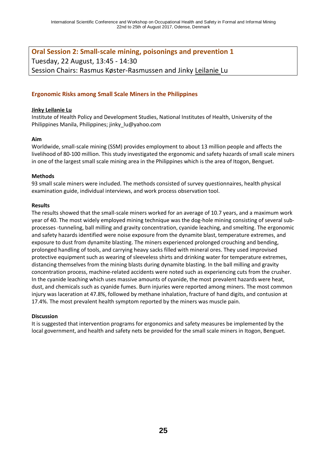**Oral Session 2: Small-scale mining, poisonings and prevention 1** Tuesday, 22 August, 13:45 - 14:30 Session Chairs: Rasmus Køster-Rasmussen and Jinky Leilanie Lu

#### **Ergonomic Risks among Small Scale Miners in the Philippines**

#### **Jinky Leilanie Lu**

Institute of Health Policy and Development Studies, National Institutes of Health, University of the Philippines Manila, Philippines; jinky\_lu@yahoo.com

#### **Aim**

Worldwide, small-scale mining (SSM) provides employment to about 13 million people and affects the livelihood of 80-100 million. This study investigated the ergonomic and safety hazards of small scale miners in one of the largest small scale mining area in the Philippines which is the area of Itogon, Benguet.

#### **Methods**

93 small scale miners were included. The methods consisted of survey questionnaires, health physical examination guide, individual interviews, and work process observation tool.

#### **Results**

The results showed that the small-scale miners worked for an average of 10.7 years, and a maximum work year of 40. The most widely employed mining technique was the dog-hole mining consisting of several subprocesses -tunneling, ball milling and gravity concentration, cyanide leaching, and smelting. The ergonomic and safety hazards identified were noise exposure from the dynamite blast, temperature extremes, and exposure to dust from dynamite blasting. The miners experienced prolonged crouching and bending, prolonged handling of tools, and carrying heavy sacks filled with mineral ores. They used improvised protective equipment such as wearing of sleeveless shirts and drinking water for temperature extremes, distancing themselves from the mining blasts during dynamite blasting. In the ball milling and gravity concentration process, machine-related accidents were noted such as experiencing cuts from the crusher. In the cyanide leaching which uses massive amounts of cyanide, the most prevalent hazards were heat, dust, and chemicals such as cyanide fumes. Burn injuries were reported among miners. The most common injury was laceration at 47.8%, followed by methane inhalation, fracture of hand digits, and contusion at 17.4%. The most prevalent health symptom reported by the miners was muscle pain.

#### **Discussion**

It is suggested that intervention programs for ergonomics and safety measures be implemented by the local government, and health and safety nets be provided for the small scale miners in Itogon, Benguet.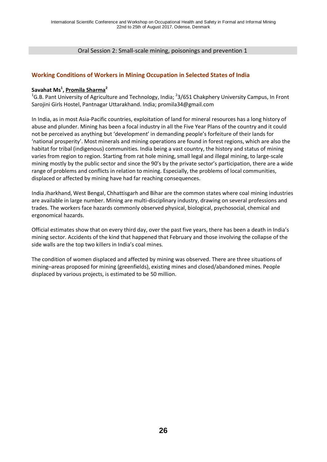#### Oral Session 2: Small-scale mining, poisonings and prevention 1

#### **Working Conditions of Workers in Mining Occupation in Selected States of India**

#### **Savahat Ms1 , Promila Sharma<sup>2</sup>**

<sup>1</sup>G.B. Pant University of Agriculture and Technology, India; <sup>2</sup>3/651 Chakphery University Campus, In Front Sarojini Girls Hostel, Pantnagar Uttarakhand. India; promila34@gmail.com

In India, as in most Asia-Pacific countries, exploitation of land for mineral resources has a long history of abuse and plunder. Mining has been a focal industry in all the Five Year Plans of the country and it could not be perceived as anything but 'development' in demanding people's forfeiture of their lands for 'national prosperity'. Most minerals and mining operations are found in forest regions, which are also the habitat for tribal (indigenous) communities. India being a vast country, the history and status of mining varies from region to region. Starting from rat hole mining, small legal and illegal mining, to large-scale mining mostly by the public sector and since the 90's by the private sector's participation, there are a wide range of problems and conflicts in relation to mining. Especially, the problems of local communities, displaced or affected by mining have had far reaching consequences.

India Jharkhand, West Bengal, Chhattisgarh and Bihar are the common states where coal mining industries are available in large number. Mining are multi-disciplinary industry, drawing on several professions and trades. The workers face hazards commonly observed physical, biological, psychosocial, chemical and ergonomical hazards.

Official estimates show that on every third day, over the past five years, there has been a death in India's mining sector. Accidents of the kind that happened that February and those involving the collapse of the side walls are the top two killers in India's coal mines.

The condition of women displaced and affected by mining was observed. There are three situations of mining–areas proposed for mining (greenfields), existing mines and closed/abandoned mines. People displaced by various projects, is estimated to be 50 million.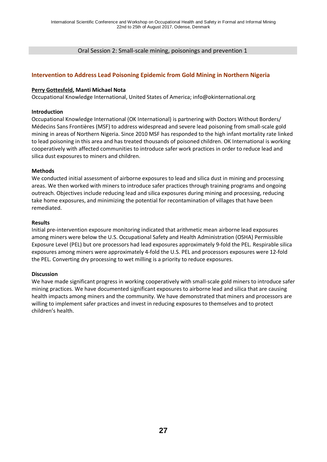#### Oral Session 2: Small-scale mining, poisonings and prevention 1

#### **Intervention to Address Lead Poisoning Epidemic from Gold Mining in Northern Nigeria**

#### **Perry Gottesfeld, Manti Michael Nota**

Occupational Knowledge International, United States of America; info@okinternational.org

#### **Introduction**

Occupational Knowledge International (OK International) is partnering with Doctors Without Borders/ Médecins Sans Frontières (MSF) to address widespread and severe lead poisoning from small-scale gold mining in areas of Northern Nigeria. Since 2010 MSF has responded to the high infant mortality rate linked to lead poisoning in this area and has treated thousands of poisoned children. OK International is working cooperatively with affected communities to introduce safer work practices in order to reduce lead and silica dust exposures to miners and children.

#### **Methods**

We conducted initial assessment of airborne exposures to lead and silica dust in mining and processing areas. We then worked with miners to introduce safer practices through training programs and ongoing outreach. Objectives include reducing lead and silica exposures during mining and processing, reducing take home exposures, and minimizing the potential for recontamination of villages that have been remediated.

#### **Results**

Initial pre-intervention exposure monitoring indicated that arithmetic mean airborne lead exposures among miners were below the U.S. Occupational Safety and Health Administration (OSHA) Permissible Exposure Level (PEL) but ore processors had lead exposures approximately 9-fold the PEL. Respirable silica exposures among miners were approximately 4-fold the U.S. PEL and processors exposures were 12-fold the PEL. Converting dry processing to wet milling is a priority to reduce exposures.

#### **Discussion**

We have made significant progress in working cooperatively with small-scale gold miners to introduce safer mining practices. We have documented significant exposures to airborne lead and silica that are causing health impacts among miners and the community. We have demonstrated that miners and processors are willing to implement safer practices and invest in reducing exposures to themselves and to protect children's health.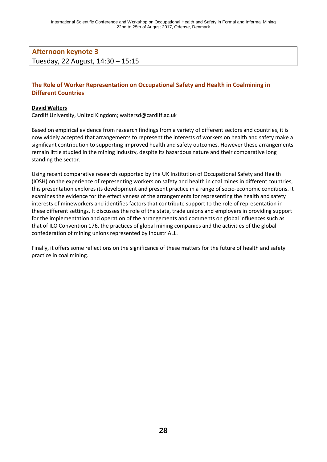**Afternoon keynote 3** Tuesday, 22 August, 14:30 – 15:15

#### **The Role of Worker Representation on Occupational Safety and Health in Coalmining in Different Countries**

#### **David Walters**

Cardiff University, United Kingdom; waltersd@cardiff.ac.uk

Based on empirical evidence from research findings from a variety of different sectors and countries, it is now widely accepted that arrangements to represent the interests of workers on health and safety make a significant contribution to supporting improved health and safety outcomes. However these arrangements remain little studied in the mining industry, despite its hazardous nature and their comparative long standing the sector.

Using recent comparative research supported by the UK Institution of Occupational Safety and Health (IOSH) on the experience of representing workers on safety and health in coal mines in different countries, this presentation explores its development and present practice in a range of socio-economic conditions. It examines the evidence for the effectiveness of the arrangements for representing the health and safety interests of mineworkers and identifies factors that contribute support to the role of representation in these different settings. It discusses the role of the state, trade unions and employers in providing support for the implementation and operation of the arrangements and comments on global influences such as that of ILO Convention 176, the practices of global mining companies and the activities of the global confederation of mining unions represented by IndustriALL.

Finally, it offers some reflections on the significance of these matters for the future of health and safety practice in coal mining.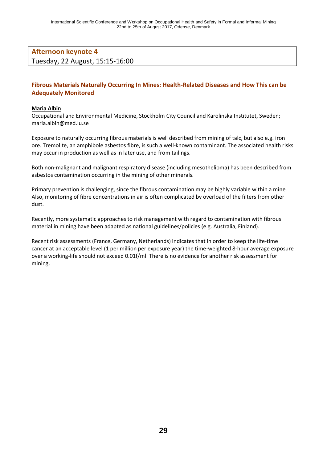**Afternoon keynote 4** Tuesday, 22 August, 15:15-16:00

#### **Fibrous Materials Naturally Occurring In Mines: Health-Related Diseases and How This can be Adequately Monitored**

#### **Maria Albin**

Occupational and Environmental Medicine, Stockholm City Council and Karolinska Institutet, Sweden; maria.albin@med.lu.se

Exposure to naturally occurring fibrous materials is well described from mining of talc, but also e.g. iron ore. Tremolite, an amphibole asbestos fibre, is such a well-known contaminant. The associated health risks may occur in production as well as in later use, and from tailings.

Both non-malignant and malignant respiratory disease (including mesothelioma) has been described from asbestos contamination occurring in the mining of other minerals.

Primary prevention is challenging, since the fibrous contamination may be highly variable within a mine. Also, monitoring of fibre concentrations in air is often complicated by overload of the filters from other dust.

Recently, more systematic approaches to risk management with regard to contamination with fibrous material in mining have been adapted as national guidelines/policies (e.g. Australia, Finland).

Recent risk assessments (France, Germany, Netherlands) indicates that in order to keep the life-time cancer at an acceptable level (1 per million per exposure year) the time-weighted 8-hour average exposure over a working-life should not exceed 0.01f/ml. There is no evidence for another risk assessment for mining.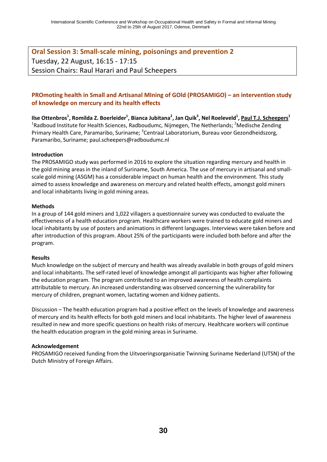**Oral Session 3: Small-scale mining, poisonings and prevention 2** Tuesday, 22 August, 16:15 - 17:15 Session Chairs: Raul Harari and Paul Scheepers

#### **PROmoting health in Small and Artisanal MIning of GOld (PROSAMIGO) – an intervention study of knowledge on mercury and its health effects**

**Ilse Ottenbros<sup>1</sup>, Romilda Z. Boerleider<sup>1</sup>, Bianca Jubitana<sup>2</sup>, Jan Quik<sup>3</sup>, Nel Roeleveld<sup>1</sup>, <u>Paul T.J. Scheepers</u><sup>1</sup>** <sup>1</sup>Radboud Institute for Health Sciences, Radboudumc, Nijmegen, The Netherlands; <sup>2</sup>Medische Zending Primary Health Care, Paramaribo, Suriname; <sup>3</sup>Centraal Laboratorium, Bureau voor Gezondheidszorg, Paramaribo, Suriname; paul.scheepers@radboudumc.nl

#### **Introduction**

The PROSAMIGO study was performed in 2016 to explore the situation regarding mercury and health in the gold mining areas in the inland of Suriname, South America. The use of mercury in artisanal and smallscale gold mining (ASGM) has a considerable impact on human health and the environment. This study aimed to assess knowledge and awareness on mercury and related health effects, amongst gold miners and local inhabitants living in gold mining areas.

#### **Methods**

In a group of 144 gold miners and 1,022 villagers a questionnaire survey was conducted to evaluate the effectiveness of a health education program. Healthcare workers were trained to educate gold miners and local inhabitants by use of posters and animations in different languages. Interviews were taken before and after introduction of this program. About 25% of the participants were included both before and after the program.

#### **Results**

Much knowledge on the subject of mercury and health was already available in both groups of gold miners and local inhabitants. The self-rated level of knowledge amongst all participants was higher after following the education program. The program contributed to an improved awareness of health complaints attributable to mercury. An increased understanding was observed concerning the vulnerability for mercury of children, pregnant women, lactating women and kidney patients.

Discussion – The health education program had a positive effect on the levels of knowledge and awareness of mercury and its health effects for both gold miners and local inhabitants. The higher level of awareness resulted in new and more specific questions on health risks of mercury. Healthcare workers will continue the health education program in the gold mining areas in Suriname.

#### **Acknowledgement**

PROSAMIGO received funding from the Uitvoeringsorganisatie Twinning Suriname Nederland (UTSN) of the Dutch Ministry of Foreign Affairs.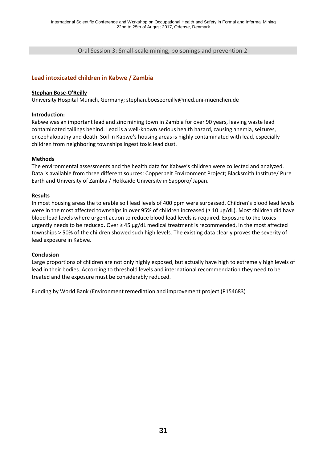Oral Session 3: Small-scale mining, poisonings and prevention 2

#### **Lead intoxicated children in Kabwe / Zambia**

#### **Stephan Bose-O'Reilly**

University Hospital Munich, Germany; stephan.boeseoreilly@med.uni-muenchen.de

#### **Introduction:**

Kabwe was an important lead and zinc mining town in Zambia for over 90 years, leaving waste lead contaminated tailings behind. Lead is a well-known serious health hazard, causing anemia, seizures, encephalopathy and death. Soil in Kabwe's housing areas is highly contaminated with lead, especially children from neighboring townships ingest toxic lead dust.

#### **Methods**

The environmental assessments and the health data for Kabwe's children were collected and analyzed. Data is available from three different sources: Copperbelt Environment Project; Blacksmith Institute/ Pure Earth and University of Zambia / Hokkaido University in Sapporo/ Japan.

#### **Results**

In most housing areas the tolerable soil lead levels of 400 ppm were surpassed. Children's blood lead levels were in the most affected townships in over 95% of children increased ( $\geq 10 \,\mu g/dL$ ). Most children did have blood lead levels where urgent action to reduce blood lead levels is required. Exposure to the toxics urgently needs to be reduced. Over ≥ 45 µg/dL medical treatment is recommended, in the most affected townships > 50% of the children showed such high levels. The existing data clearly proves the severity of lead exposure in Kabwe.

#### **Conclusion**

Large proportions of children are not only highly exposed, but actually have high to extremely high levels of lead in their bodies. According to threshold levels and international recommendation they need to be treated and the exposure must be considerably reduced.

Funding by World Bank (Environment remediation and improvement project (P154683)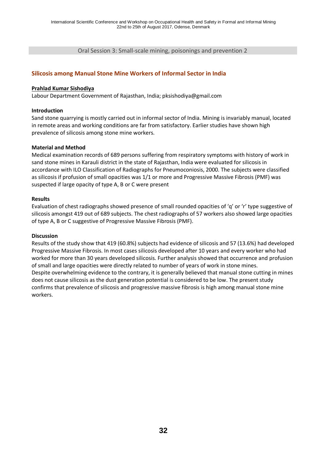Oral Session 3: Small-scale mining, poisonings and prevention 2

#### **Silicosis among Manual Stone Mine Workers of Informal Sector in India**

#### **Prahlad Kumar Sishodiya**

Labour Department Government of Rajasthan, India; pksishodiya@gmail.com

#### **Introduction**

Sand stone quarrying is mostly carried out in informal sector of India. Mining is invariably manual, located in remote areas and working conditions are far from satisfactory. Earlier studies have shown high prevalence of silicosis among stone mine workers.

#### **Material and Method**

Medical examination records of 689 persons suffering from respiratory symptoms with history of work in sand stone mines in Karauli district in the state of Rajasthan, India were evaluated for silicosis in accordance with ILO Classification of Radiographs for Pneumoconiosis, 2000. The subjects were classified as silicosis if profusion of small opacities was 1/1 or more and Progressive Massive Fibrosis (PMF) was suspected if large opacity of type A, B or C were present

#### **Results**

Evaluation of chest radiographs showed presence of small rounded opacities of 'q' or 'r' type suggestive of silicosis amongst 419 out of 689 subjects. The chest radiographs of 57 workers also showed large opacities of type A, B or C suggestive of Progressive Massive Fibrosis (PMF).

#### **Discussion**

Results of the study show that 419 (60.8%) subjects had evidence of silicosis and 57 (13.6%) had developed Progressive Massive Fibrosis. In most cases silicosis developed after 10 years and every worker who had worked for more than 30 years developed silicosis. Further analysis showed that occurrence and profusion of small and large opacities were directly related to number of years of work in stone mines. Despite overwhelming evidence to the contrary, it is generally believed that manual stone cutting in mines does not cause silicosis as the dust generation potential is considered to be low. The present study confirms that prevalence of silicosis and progressive massive fibrosis is high among manual stone mine workers.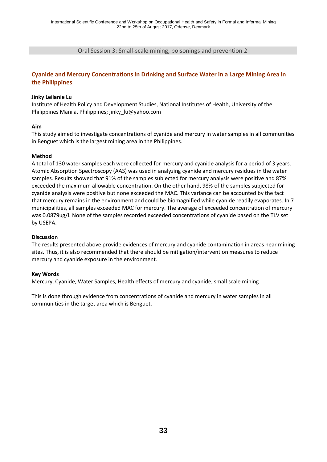Oral Session 3: Small-scale mining, poisonings and prevention 2

#### **Cyanide and Mercury Concentrations in Drinking and Surface Water in a Large Mining Area in the Philippines**

#### **Jinky Leilanie Lu**

Institute of Health Policy and Development Studies, National Institutes of Health, University of the Philippines Manila, Philippines; jinky\_lu@yahoo.com

#### **Aim**

This study aimed to investigate concentrations of cyanide and mercury in water samples in all communities in Benguet which is the largest mining area in the Philippines.

#### **Method**

A total of 130 water samples each were collected for mercury and cyanide analysis for a period of 3 years. Atomic Absorption Spectroscopy (AAS) was used in analyzing cyanide and mercury residues in the water samples. Results showed that 91% of the samples subjected for mercury analysis were positive and 87% exceeded the maximum allowable concentration. On the other hand, 98% of the samples subjected for cyanide analysis were positive but none exceeded the MAC. This variance can be accounted by the fact that mercury remains in the environment and could be biomagnified while cyanide readily evaporates. In 7 municipalities, all samples exceeded MAC for mercury. The average of exceeded concentration of mercury was 0.0879ug/l. None of the samples recorded exceeded concentrations of cyanide based on the TLV set by USEPA.

#### **Discussion**

The results presented above provide evidences of mercury and cyanide contamination in areas near mining sites. Thus, it is also recommended that there should be mitigation/intervention measures to reduce mercury and cyanide exposure in the environment.

#### **Key Words**

Mercury, Cyanide, Water Samples, Health effects of mercury and cyanide, small scale mining

This is done through evidence from concentrations of cyanide and mercury in water samples in all communities in the target area which is Benguet.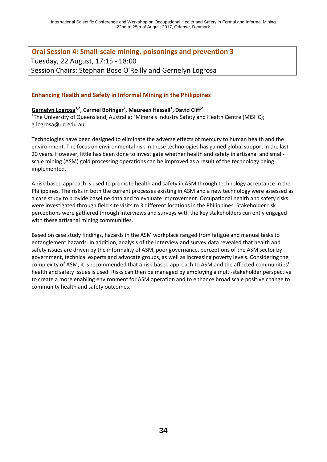**Oral Session 4: Small-scale mining, poisonings and prevention 3** Tuesday, 22 August, 17:15 - 18:00 Session Chairs: Stephan Bose O'Reilly and Gernelyn Logrosa

#### **Enhancing Health and Safety in Informal Mining in the Philippines**

#### **Gernelyn Logrosa<sup>1,2</sup>, Carmel Bofinger<sup>2</sup>, Maureen Hassall<sup>1</sup>, David Cliff<sup>2</sup>**

<sup>1</sup>The University of Queensland, Australia; <sup>2</sup>Minerals Industry Safety and Health Centre (MISHC); g.logrosa@uq.edu.au

Technologies have been designed to eliminate the adverse effects of mercury to human health and the environment. The focus on environmental risk in these technologies has gained global support in the last 20 years. However, little has been done to investigate whether health and safety in artisanal and smallscale mining (ASM) gold processing operations can be improved as a result of the technology being implemented.

A risk-based approach is used to promote health and safety in ASM through technology acceptance in the Philippines. The risks in both the current processes existing in ASM and a new technology were assessed as a case study to provide baseline data and to evaluate improvement. Occupational health and safety risks were investigated through field site visits to 3 different locations in the Philippines. Stakeholder risk perceptions were gathered through interviews and surveys with the key stakeholders currently engaged with these artisanal mining communities.

Based on case study findings, hazards in the ASM workplace ranged from fatigue and manual tasks to entanglement hazards. In addition, analysis of the interview and survey data revealed that health and safety issues are driven by the informality of ASM, poor governance, perceptions of the ASM sector by government, technical experts and advocate groups, as well as increasing poverty levels. Considering the complexity of ASM, it is recommended that a risk-based approach to ASM and the affected communities' health and safety issues is used. Risks can then be managed by employing a multi-stakeholder perspective to create a more enabling environment for ASM operation and to enhance broad scale positive change to community health and safety outcomes.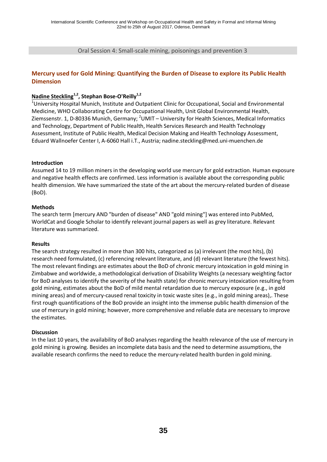Oral Session 4: Small-scale mining, poisonings and prevention 3

#### **Mercury used for Gold Mining: Quantifying the Burden of Disease to explore its Public Health Dimension**

#### Nadine Steckling<sup>1,2</sup>, Stephan Bose-O'Reilly<sup>1,2</sup>

<sup>1</sup>University Hospital Munich, Institute and Outpatient Clinic for Occupational, Social and Environmental Medicine, WHO Collaborating Centre for Occupational Health, Unit Global Environmental Health, Ziemssenstr. 1, D-80336 Munich, Germany; <sup>2</sup>UMIT – University for Health Sciences, Medical Informatics and Technology, Department of Public Health, Health Services Research and Health Technology Assessment, Institute of Public Health, Medical Decision Making and Health Technology Assessment, Eduard Wallnoefer Center I, A-6060 Hall i.T., Austria; nadine.steckling@med.uni-muenchen.de

#### **Introduction**

Assumed 14 to 19 million miners in the developing world use mercury for gold extraction. Human exposure and negative health effects are confirmed. Less information is available about the corresponding public health dimension. We have summarized the state of the art about the mercury-related burden of disease (BoD).

#### **Methods**

The search term [mercury AND "burden of disease" AND "gold mining"] was entered into PubMed, WorldCat and Google Scholar to identify relevant journal papers as well as grey literature. Relevant literature was summarized.

#### **Results**

The search strategy resulted in more than 300 hits, categorized as (a) irrelevant (the most hits), (b) research need formulated, (c) referencing relevant literature, and (d) relevant literature (the fewest hits). The most relevant findings are estimates about the BoD of chronic mercury intoxication in gold mining in Zimbabwe and worldwide, a methodological derivation of Disability Weights (a necessary weighting factor for BoD analyses to identify the severity of the health state) for chronic mercury intoxication resulting from gold mining, estimates about the BoD of mild mental retardation due to mercury exposure (e.g., in gold mining areas) and of mercury-caused renal toxicity in toxic waste sites (e.g., in gold mining areas),. These first rough quantifications of the BoD provide an insight into the immense public health dimension of the use of mercury in gold mining; however, more comprehensive and reliable data are necessary to improve the estimates.

#### **Discussion**

In the last 10 years, the availability of BoD analyses regarding the health relevance of the use of mercury in gold mining is growing. Besides an incomplete data basis and the need to determine assumptions, the available research confirms the need to reduce the mercury-related health burden in gold mining.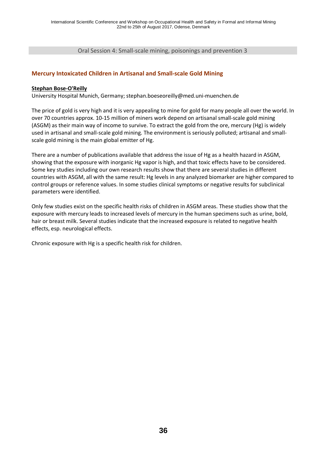Oral Session 4: Small-scale mining, poisonings and prevention 3

#### **Mercury Intoxicated Children in Artisanal and Small-scale Gold Mining**

#### **Stephan Bose-O'Reilly**

University Hospital Munich, Germany; stephan.boeseoreilly@med.uni-muenchen.de

The price of gold is very high and it is very appealing to mine for gold for many people all over the world. In over 70 countries approx. 10-15 million of miners work depend on artisanal small-scale gold mining (ASGM) as their main way of income to survive. To extract the gold from the ore, mercury (Hg) is widely used in artisanal and small-scale gold mining. The environment is seriously polluted; artisanal and smallscale gold mining is the main global emitter of Hg.

There are a number of publications available that address the issue of Hg as a health hazard in ASGM, showing that the exposure with inorganic Hg vapor is high, and that toxic effects have to be considered. Some key studies including our own research results show that there are several studies in different countries with ASGM, all with the same result: Hg levels in any analyzed biomarker are higher compared to control groups or reference values. In some studies clinical symptoms or negative results for subclinical parameters were identified.

Only few studies exist on the specific health risks of children in ASGM areas. These studies show that the exposure with mercury leads to increased levels of mercury in the human specimens such as urine, bold, hair or breast milk. Several studies indicate that the increased exposure is related to negative health effects, esp. neurological effects.

Chronic exposure with Hg is a specific health risk for children.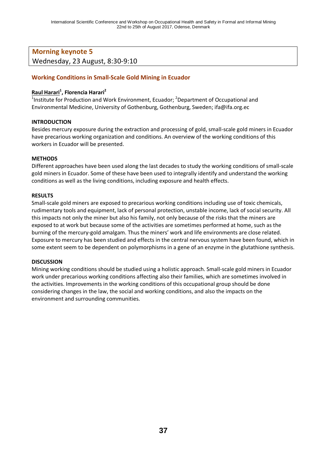**Morning keynote 5** Wednesday, 23 August, 8:30-9:10

# **Working Conditions in Small-Scale Gold Mining in Ecuador**

## **Raul Harari1 , Florencia Harari2**

<sup>1</sup>Institute for Production and Work Environment, Ecuador; <sup>2</sup>Department of Occupational and Environmental Medicine, University of Gothenburg, Gothenburg, Sweden; ifa@ifa.org.ec

## **INTRODUCTION**

Besides mercury exposure during the extraction and processing of gold, small-scale gold miners in Ecuador have precarious working organization and conditions. An overview of the working conditions of this workers in Ecuador will be presented.

### **METHODS**

Different approaches have been used along the last decades to study the working conditions of small-scale gold miners in Ecuador. Some of these have been used to integrally identify and understand the working conditions as well as the living conditions, including exposure and health effects.

### **RESULTS**

Small-scale gold miners are exposed to precarious working conditions including use of toxic chemicals, rudimentary tools and equipment, lack of personal protection, unstable income, lack of social security. All this impacts not only the miner but also his family, not only because of the risks that the miners are exposed to at work but because some of the activities are sometimes performed at home, such as the burning of the mercury-gold amalgam. Thus the miners' work and life environments are close related. Exposure to mercury has been studied and effects in the central nervous system have been found, which in some extent seem to be dependent on polymorphisms in a gene of an enzyme in the glutathione synthesis.

### **DISCUSSION**

Mining working conditions should be studied using a holistic approach. Small-scale gold miners in Ecuador work under precarious working conditions affecting also their families, which are sometimes involved in the activities. Improvements in the working conditions of this occupational group should be done considering changes in the law, the social and working conditions, and also the impacts on the environment and surrounding communities.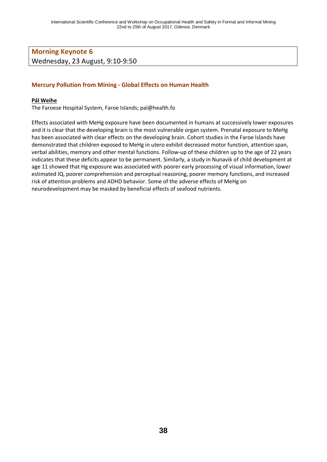**Morning Keynote 6** Wednesday, 23 August, 9:10-9:50

# **Mercury Pollution from Mining - Global Effects on Human Health**

### **Pál Weihe**

The Faroese Hospital System, Faroe Islands; pal@health.fo

Effects associated with MeHg exposure have been documented in humans at successively lower exposures and it is clear that the developing brain is the most vulnerable organ system. Prenatal exposure to MeHg has been associated with clear effects on the developing brain. Cohort studies in the Faroe Islands have demonstrated that children exposed to MeHg in utero exhibit decreased motor function, attention span, verbal abilities, memory and other mental functions. Follow-up of these children up to the age of 22 years indicates that these deficits appear to be permanent. Similarly, a study in Nunavik of child development at age 11 showed that Hg exposure was associated with poorer early processing of visual information, lower estimated IQ, poorer comprehension and perceptual reasoning, poorer memory functions, and increased risk of attention problems and ADHD behavior. Some of the adverse effects of MeHg on neurodevelopment may be masked by beneficial effects of seafood nutrients.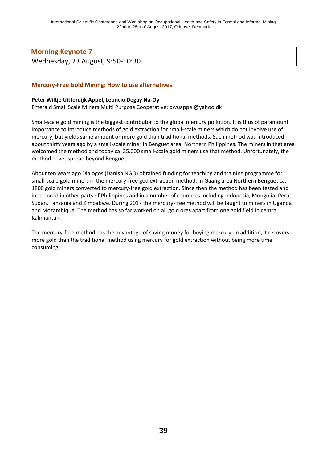**Morning Keynote 7** Wednesday, 23 August, 9:50-10:30

# **Mercury-Free Gold Mining: How to use alternatives**

### **Peter Wiltje Uitterdijk Appel, Leoncio Degay Na-Oy**

Emerald Small Scale Miners Multi Purpose Cooperative; pwuappel@yahoo.dk

Small-scale gold mining is the biggest contributor to the global mercury pollution. It is thus of paramount importance to introduce methods of gold extraction for small-scale miners which do not involve use of mercury, but yields same amount or more gold than traditional methods. Such method was introduced about thirty years ago by a small-scale miner in Benguet area, Northern Philippines. The miners in that area welcomed the method and today ca. 25.000 small-scale gold miners use that method. Unfortunately, the method never spread beyond Benguet.

About ten years ago Dialogos (Danish NGO) obtained funding for teaching and training programme for small-scale gold miners in the mercury-free god extraction method. In Gaang area Northern Benguet ca. 1800 gold miners converted to mercury-free gold extraction. Since then the method has been tested and introduced in other parts of Philippines and in a number of countries including Indonesia, Mongolia, Peru, Sudan, Tanzania and Zimbabwe. During 2017 the mercury-free method will be taught to miners in Uganda and Mozambique. The method has so far worked on all gold ores apart from one gold field in central Kalimantan.

The mercury-free method has the advantage of saving money for buying mercury. In addition, it recovers more gold than the traditional method using mercury for gold extraction without being more time consuming.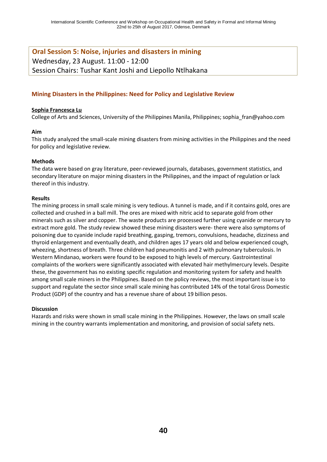**Oral Session 5: Noise, injuries and disasters in mining** Wednesday, 23 August. 11:00 - 12:00 Session Chairs: Tushar Kant Joshi and Liepollo Ntlhakana

# **Mining Disasters in the Philippines: Need for Policy and Legislative Review**

### **Sophia Francesca Lu**

College of Arts and Sciences, University of the Philippines Manila, Philippines; sophia\_fran@yahoo.com

### **Aim**

This study analyzed the small-scale mining disasters from mining activities in the Philippines and the need for policy and legislative review.

### **Methods**

The data were based on gray literature, peer-reviewed journals, databases, government statistics, and secondary literature on major mining disasters in the Philippines, and the impact of regulation or lack thereof in this industry.

### **Results**

The mining process in small scale mining is very tedious. A tunnel is made, and if it contains gold, ores are collected and crushed in a ball mill. The ores are mixed with nitric acid to separate gold from other minerals such as silver and copper. The waste products are processed further using cyanide or mercury to extract more gold. The study review showed these mining disasters were- there were also symptoms of poisoning due to cyanide include rapid breathing, gasping, tremors, convulsions, headache, dizziness and thyroid enlargement and eventually death, and children ages 17 years old and below experienced cough, wheezing, shortness of breath. Three children had pneumonitis and 2 with pulmonary tuberculosis. In Western Mindanao, workers were found to be exposed to high levels of mercury. Gastrointestinal complaints of the workers were significantly associated with elevated hair methylmercury levels. Despite these, the government has no existing specific regulation and monitoring system for safety and health among small scale miners in the Philippines. Based on the policy reviews, the most important issue is to support and regulate the sector since small scale mining has contributed 14% of the total Gross Domestic Product (GDP) of the country and has a revenue share of about 19 billion pesos.

### **Discussion**

Hazards and risks were shown in small scale mining in the Philippines. However, the laws on small scale mining in the country warrants implementation and monitoring, and provision of social safety nets.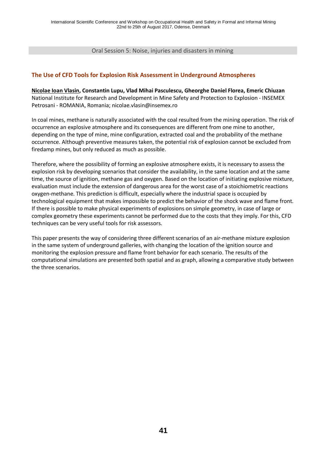Oral Session 5: Noise, injuries and disasters in mining

## **The Use of CFD Tools for Explosion Risk Assessment in Underground Atmospheres**

**Nicolae Ioan Vlasin, Constantin Lupu, Vlad Mihai Pasculescu, Gheorghe Daniel Florea, Emeric Chiuzan** National Institute for Research and Development in Mine Safety and Protection to Explosion - INSEMEX Petrosani - ROMANIA, Romania; nicolae.vlasin@insemex.ro

In coal mines, methane is naturally associated with the coal resulted from the mining operation. The risk of occurrence an explosive atmosphere and its consequences are different from one mine to another, depending on the type of mine, mine configuration, extracted coal and the probability of the methane occurrence. Although preventive measures taken, the potential risk of explosion cannot be excluded from firedamp mines, but only reduced as much as possible.

Therefore, where the possibility of forming an explosive atmosphere exists, it is necessary to assess the explosion risk by developing scenarios that consider the availability, in the same location and at the same time, the source of ignition, methane gas and oxygen. Based on the location of initiating explosive mixture, evaluation must include the extension of dangerous area for the worst case of a stoichiometric reactions oxygen-methane. This prediction is difficult, especially where the industrial space is occupied by technological equipment that makes impossible to predict the behavior of the shock wave and flame front. If there is possible to make physical experiments of explosions on simple geometry, in case of large or complex geometry these experiments cannot be performed due to the costs that they imply. For this, CFD techniques can be very useful tools for risk assessors.

This paper presents the way of considering three different scenarios of an air-methane mixture explosion in the same system of underground galleries, with changing the location of the ignition source and monitoring the explosion pressure and flame front behavior for each scenario. The results of the computational simulations are presented both spatial and as graph, allowing a comparative study between the three scenarios.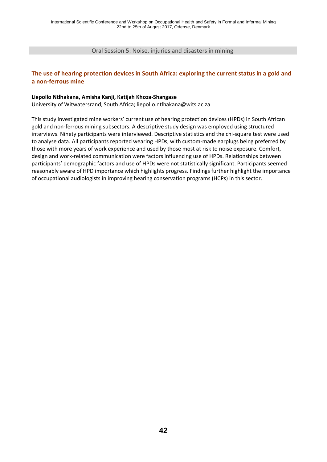Oral Session 5: Noise, injuries and disasters in mining

# **The use of hearing protection devices in South Africa: exploring the current status in a gold and a non-ferrous mine**

#### **Liepollo Ntlhakana, Amisha Kanji, Katijah Khoza-Shangase**

University of Witwatersrand, South Africa; liepollo.ntlhakana@wits.ac.za

This study investigated mine workers' current use of hearing protection devices (HPDs) in South African gold and non-ferrous mining subsectors. A descriptive study design was employed using structured interviews. Ninety participants were interviewed. Descriptive statistics and the chi-square test were used to analyse data. All participants reported wearing HPDs, with custom-made earplugs being preferred by those with more years of work experience and used by those most at risk to noise exposure. Comfort, design and work-related communication were factors influencing use of HPDs. Relationships between participants' demographic factors and use of HPDs were not statistically significant. Participants seemed reasonably aware of HPD importance which highlights progress. Findings further highlight the importance of occupational audiologists in improving hearing conservation programs (HCPs) in this sector.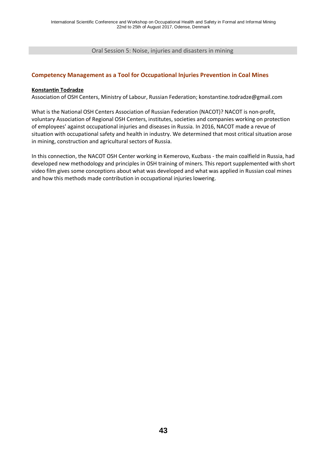Oral Session 5: Noise, injuries and disasters in mining

## **Competency Management as a Tool for Occupational Injuries Prevention in Coal Mines**

### **Konstantin Todradze**

Association of OSH Centers, Ministry of Labour, Russian Federation; konstantine.todradze@gmail.com

What is the National OSH Centers Association of Russian Federation (NACOT)? NACOT is non-profit, voluntary Association of Regional OSH Centers, institutes, societies and companies working on protection of employees' against occupational injuries and diseases in Russia. In 2016, NACOT made a revue of situation with occupational safety and health in industry. We determined that most critical situation arose in mining, construction and agricultural sectors of Russia.

In this connection, the NACOT OSH Center working in Kemerovo, Kuzbass - the main coalfield in Russia, had developed new methodology and principles in OSH training of miners. This report supplemented with short video film gives some conceptions about what was developed and what was applied in Russian coal mines and how this methods made contribution in occupational injuries lowering.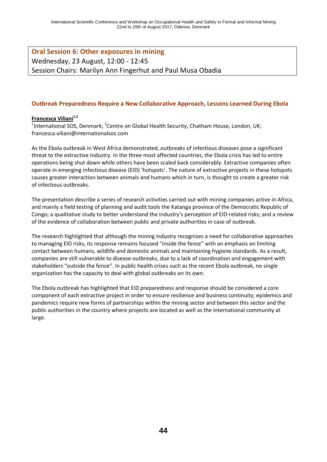**Oral Session 6: Other exposures in mining** Wednesday, 23 August, 12:00 - 12:45 Session Chairs: Marilyn Ann Fingerhut and Paul Musa Obadia

# **Outbreak Preparedness Require a New Collaborative Approach, Lessons Learned During Ebola**

# Francesca Viliani<sup>1,2</sup>

<sup>1</sup>International SOS, Denmark; <sup>2</sup>Centre on Global Health Security, Chatham House, London, UK; francesca.viliani@internationalsos.com

As the Ebola outbreak in West Africa demonstrated, outbreaks of infectious diseases pose a significant threat to the extractive industry. In the three most affected countries, the Ebola crisis has led to entire operations being shut down while others have been scaled back considerably. Extractive companies often operate in emerging infectious disease (EID) 'hotspots'. The nature of extractive projects in these hotspots causes greater interaction between animals and humans which in turn, is thought to create a greater risk of infectious outbreaks.

The presentation describe a series of research activities carried out with mining companies active in Africa, and mainly a field testing of planning and audit tools the Katanga province of the Democratic Republic of Congo; a qualitative study to better understand the industry's perception of EID-related risks; and a review of the evidence of collaboration between public and private authorities in case of outbreak.

The research highlighted that although the mining industry recognizes a need for collaborative approaches to managing EID risks, its response remains focused "inside the fence" with an emphasis on limiting contact between humans, wildlife and domestic animals and maintaining hygiene standards. As a result, companies are still vulnerable to disease outbreaks, due to a lack of coordination and engagement with stakeholders "outside the fence". In public health crises such as the recent Ebola outbreak, no single organization has the capacity to deal with global outbreaks on its own.

The Ebola outbreak has highlighted that EID preparedness and response should be considered a core component of each extractive project in order to ensure resilience and business continuity; epidemics and pandemics require new forms of partnerships within the mining sector and between this sector and the public authorities in the country where projects are located as well as the international community at large.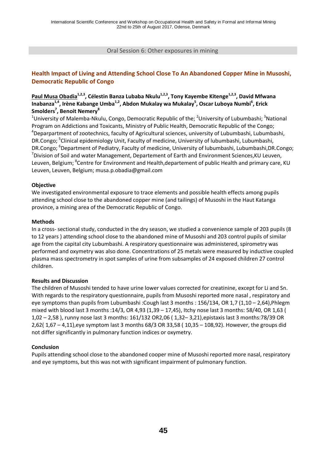Oral Session 6: Other exposures in mining

# **Health Impact of Living and Attending School Close To An Abandoned Copper Mine in Musoshi, Democratic Republic of Congo**

## Paul Musa Obadia<sup>1,2,3</sup>, Célestin Banza Lubaba Nkulu<sup>1,2,3</sup>, Tony Kayembe Kitenge<sup>1,2,3</sup>, David Mfwana Inabanza<sup>1,4</sup>, Irène Kabange Umba<sup>1,2</sup>, Abdon Mukalay wa Mukalay<sup>5</sup>, Oscar Luboya Numbi<sup>6</sup>, Erick **Smolders7 , Benoit Nemery<sup>8</sup>**

<sup>1</sup>University of Malemba-Nkulu, Congo, Democratic Republic of the; <sup>2</sup>University of Lubumbashi; <sup>3</sup>National Program on Addictions and Toxicants, Ministry of Public Health, Democratic Republic of the Congo; 4 <sup>4</sup>Deparpartment of zootechnics, faculty of Agricultural sciences, university of Lubumbashi, Lubumbashi, DR.Congo; <sup>5</sup>Clinical epidemiology Unit, Faculty of medicine, University of lubumbashi, Lubumbashi, DR.Congo; <sup>6</sup>Department of Pediatry, Faculty of medicine, University of lubumbashi, Lubumbashi,DR.Congo;<br><sup>7</sup>Division of Soil and water Management, Departement of Earth and Environment Sciences KLLLouven.  $\Omega$ ivision of Soil and water Management, Departement of Earth and Environment Sciences, KU Leuven, Leuven, Belgium; <sup>8</sup>Centre for Environment and Health,departement of public Health and primary care, KU Leuven, Leuven, Belgium; musa.p.obadia@gmail.com

### **Objective**

We investigated environmental exposure to trace elements and possible health effects among pupils attending school close to the abandoned copper mine (and tailings) of Musoshi in the Haut Katanga province, a mining area of the Democratic Republic of Congo.

### **Methods**

In a cross- sectional study, conducted in the dry season, we studied a convenience sample of 203 pupils (8 to 12 years ) attending school close to the abandoned mine of Musoshi and 203 control pupils of similar age from the capital city Lubumbashi. A respiratory questionnaire was administered, spirometry was performed and oxymetry was also done. Concentrations of 25 metals were measured by inductive coupled plasma mass spectrometry in spot samples of urine from subsamples of 24 exposed children 27 control children.

## **Results and Discussion**

The children of Musoshi tended to have urine lower values corrected for creatinine, except for Li and Sn. With regards to the respiratory questionnaire, pupils from Musoshi reported more nasal , respiratory and eye symptoms than pupils from Lubumbashi :Cough last 3 months : 156/134, OR 1,7 (1,10 - 2,64), Phlegm mixed with blood last 3 months :14/3, OR 4,93 (1,39 – 17,45), Itchy nose last 3 months: 58/40, OR 1,63 ( 1,02 – 2,58 ), runny nose last 3 months: 161/132 OR2,06 ( 1,32– 3,21),epistaxis last 3 months:78/39 OR 2,62( 1,67 – 4,11),eye symptom last 3 months 68/3 OR 33,58 ( 10,35 – 108,92). However, the groups did not differ significantly in pulmonary function indices or oxymetry.

## **Conclusion**

Pupils attending school close to the abandoned cooper mine of Musoshi reported more nasal, respiratory and eye symptoms, but this was not with significant impairment of pulmonary function.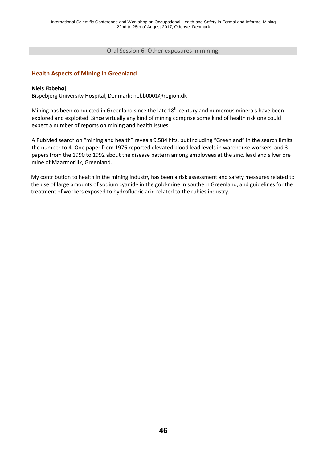#### Oral Session 6: Other exposures in mining

## **Health Aspects of Mining in Greenland**

### **Niels Ebbehøj**

Bispebjerg University Hospital, Denmark; nebb0001@region.dk

Mining has been conducted in Greenland since the late 18<sup>th</sup> century and numerous minerals have been explored and exploited. Since virtually any kind of mining comprise some kind of health risk one could expect a number of reports on mining and health issues.

A PubMed search on "mining and health" reveals 9,584 hits, but including "Greenland" in the search limits the number to 4. One paper from 1976 reported elevated blood lead levels in warehouse workers, and 3 papers from the 1990 to 1992 about the disease pattern among employees at the zinc, lead and silver ore mine of Maarmorilik, Greenland.

My contribution to health in the mining industry has been a risk assessment and safety measures related to the use of large amounts of sodium cyanide in the gold-mine in southern Greenland, and guidelines for the treatment of workers exposed to hydrofluoric acid related to the rubies industry.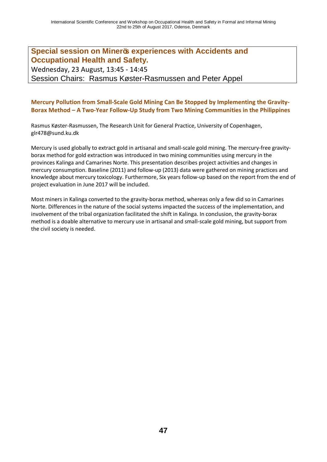**Special session on Miner's experiences with Accidents and Occupational Health and Safety.** Wednesday, 23 August, 13:45 - 14:45 Session Chairs:Rasmus Køster-Rasmussen and Peter Appel

# **Mercury Pollution from Small-Scale Gold Mining Can Be Stopped by Implementing the Gravity-Borax Method – A Two-Year Follow-Up Study from Two Mining Communities in the Philippines**

Rasmus Køster-Rasmussen, The Research Unit for General Practice, University of Copenhagen, glr478@sund.ku.dk

Mercury is used globally to extract gold in artisanal and small-scale gold mining. The mercury-free gravityborax method for gold extraction was introduced in two mining communities using mercury in the provinces Kalinga and Camarines Norte. This presentation describes project activities and changes in mercury consumption. Baseline (2011) and follow-up (2013) data were gathered on mining practices and knowledge about mercury toxicology. Furthermore, Six years follow-up based on the report from the end of project evaluation in June 2017 will be included.

Most miners in Kalinga converted to the gravity-borax method, whereas only a few did so in Camarines Norte. Differences in the nature of the social systems impacted the success of the implementation, and involvement of the tribal organization facilitated the shift in Kalinga. In conclusion, the gravity-borax method is a doable alternative to mercury use in artisanal and small-scale gold mining, but support from the civil society is needed.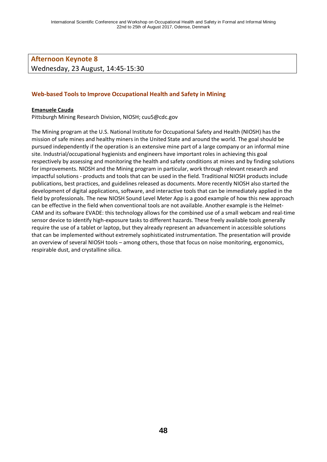**Afternoon Keynote 8** Wednesday, 23 August, 14:45-15:30

# **Web-based Tools to Improve Occupational Health and Safety in Mining**

## **Emanuele Cauda**

Pittsburgh Mining Research Division, NIOSH; cuu5@cdc.gov

The Mining program at the U.S. National Institute for Occupational Safety and Health (NIOSH) has the mission of safe mines and healthy miners in the United State and around the world. The goal should be pursued independently if the operation is an extensive mine part of a large company or an informal mine site. Industrial/occupational hygienists and engineers have important roles in achieving this goal respectively by assessing and monitoring the health and safety conditions at mines and by finding solutions for improvements. NIOSH and the Mining program in particular, work through relevant research and impactful solutions - products and tools that can be used in the field. Traditional NIOSH products include publications, best practices, and guidelines released as documents. More recently NIOSH also started the development of digital applications, software, and interactive tools that can be immediately applied in the field by professionals. The new NIOSH Sound Level Meter App is a good example of how this new approach can be effective in the field when conventional tools are not available. Another example is the Helmet-CAM and its software EVADE: this technology allows for the combined use of a small webcam and real-time sensor device to identify high-exposure tasks to different hazards. These freely available tools generally require the use of a tablet or laptop, but they already represent an advancement in accessible solutions that can be implemented without extremely sophisticated instrumentation. The presentation will provide an overview of several NIOSH tools – among others, those that focus on noise monitoring, ergonomics, respirable dust, and crystalline silica.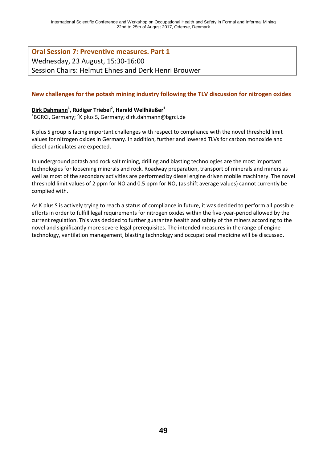**Oral Session 7: Preventive measures. Part 1** Wednesday, 23 August, 15:30-16:00 Session Chairs: Helmut Ehnes and Derk Henri Brouwer

# **New challenges for the potash mining industry following the TLV discussion for nitrogen oxides**

# $Dirk$  Dahmann<sup>1</sup>, Rüdiger Triebel<sup>2</sup>, Harald Wellhäußer<sup>1</sup>

<sup>1</sup>BGRCI, Germany; <sup>2</sup>K plus S, Germany; dirk.dahmann@bgrci.de

K plus S group is facing important challenges with respect to compliance with the novel threshold limit values for nitrogen oxides in Germany. In addition, further and lowered TLVs for carbon monoxide and diesel particulates are expected.

In underground potash and rock salt mining, drilling and blasting technologies are the most important technologies for loosening minerals and rock. Roadway preparation, transport of minerals and miners as well as most of the secondary activities are performed by diesel engine driven mobile machinery. The novel threshold limit values of 2 ppm for NO and 0.5 ppm for  $NO<sub>2</sub>$  (as shift average values) cannot currently be complied with.

As K plus S is actively trying to reach a status of compliance in future, it was decided to perform all possible efforts in order to fulfill legal requirements for nitrogen oxides within the five-year-period allowed by the current regulation. This was decided to further guarantee health and safety of the miners according to the novel and significantly more severe legal prerequisites. The intended measures in the range of engine technology, ventilation management, blasting technology and occupational medicine will be discussed.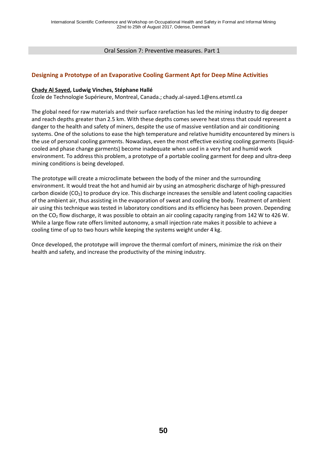### Oral Session 7: Preventive measures. Part 1

# **Designing a Prototype of an Evaporative Cooling Garment Apt for Deep Mine Activities**

### **Chady Al Sayed, Ludwig Vinches, Stéphane Hallé**

École de Technologie Supérieure, Montreal, Canada.; chady.al-sayed.1@ens.etsmtl.ca

The global need for raw materials and their surface rarefaction has led the mining industry to dig deeper and reach depths greater than 2.5 km. With these depths comes severe heat stress that could represent a danger to the health and safety of miners, despite the use of massive ventilation and air conditioning systems. One of the solutions to ease the high temperature and relative humidity encountered by miners is the use of personal cooling garments. Nowadays, even the most effective existing cooling garments (liquidcooled and phase change garments) become inadequate when used in a very hot and humid work environment. To address this problem, a prototype of a portable cooling garment for deep and ultra-deep mining conditions is being developed.

The prototype will create a microclimate between the body of the miner and the surrounding environment. It would treat the hot and humid air by using an atmospheric discharge of high-pressured carbon dioxide  $(CO<sub>2</sub>)$  to produce dry ice. This discharge increases the sensible and latent cooling capacities of the ambient air, thus assisting in the evaporation of sweat and cooling the body. Treatment of ambient air using this technique was tested in laboratory conditions and its efficiency has been proven. Depending on the CO<sub>2</sub> flow discharge, it was possible to obtain an air cooling capacity ranging from 142 W to 426 W. While a large flow rate offers limited autonomy, a small injection rate makes it possible to achieve a cooling time of up to two hours while keeping the systems weight under 4 kg.

Once developed, the prototype will improve the thermal comfort of miners, minimize the risk on their health and safety, and increase the productivity of the mining industry.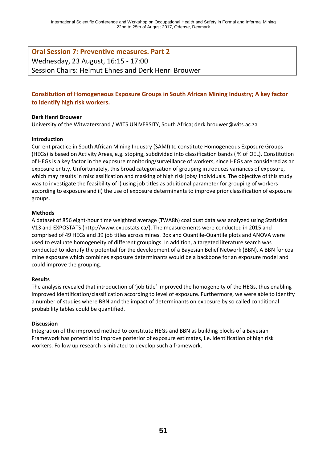**Oral Session 7: Preventive measures. Part 2** Wednesday, 23 August, 16:15 - 17:00 Session Chairs: Helmut Ehnes and Derk Henri Brouwer

# **Constitution of Homogeneous Exposure Groups in South African Mining Industry; A key factor to identify high risk workers.**

# **Derk Henri Brouwer**

University of the Witwatersrand / WITS UNIVERSITY, South Africa; derk.brouwer@wits.ac.za

## **Introduction**

Current practice in South African Mining Industry (SAMI) to constitute Homogeneous Exposure Groups (HEGs) is based on Activity Areas, e.g. stoping, subdivided into classification bands ( % of OEL). Constitution of HEGs is a key factor in the exposure monitoring/surveillance of workers, since HEGs are considered as an exposure entity. Unfortunately, this broad categorization of grouping introduces variances of exposure, which may results in misclassification and masking of high risk jobs/ individuals. The objective of this study was to investigate the feasibility of i) using job titles as additional parameter for grouping of workers according to exposure and ii) the use of exposure determinants to improve prior classification of exposure groups.

## **Methods**

A dataset of 856 eight-hour time weighted average (TWA8h) coal dust data was analyzed using Statistica V13 and EXPOSTATS (http://www.expostats.ca/). The measurements were conducted in 2015 and comprised of 49 HEGs and 39 job titles across mines. Box and Quantile-Quantile plots and ANOVA were used to evaluate homogeneity of different groupings. In addition, a targeted literature search was conducted to identify the potential for the development of a Bayesian Belief Network (BBN). A BBN for coal mine exposure which combines exposure determinants would be a backbone for an exposure model and could improve the grouping.

## **Results**

The analysis revealed that introduction of 'job title' improved the homogeneity of the HEGs, thus enabling improved identification/classification according to level of exposure. Furthermore, we were able to identify a number of studies where BBN and the impact of determinants on exposure by so called conditional probability tables could be quantified.

## **Discussion**

Integration of the improved method to constitute HEGs and BBN as building blocks of a Bayesian Framework has potential to improve posterior of exposure estimates, i.e. identification of high risk workers. Follow up research is initiated to develop such a framework.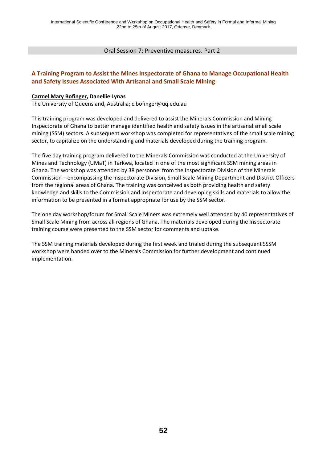Oral Session 7: Preventive measures. Part 2

# **A Training Program to Assist the Mines Inspectorate of Ghana to Manage Occupational Health and Safety Issues Associated With Artisanal and Small Scale Mining**

### **Carmel Mary Bofinger, Danellie Lynas**

The University of Queensland, Australia; c.bofinger@uq.edu.au

This training program was developed and delivered to assist the Minerals Commission and Mining Inspectorate of Ghana to better manage identified health and safety issues in the artisanal small scale mining (SSM) sectors. A subsequent workshop was completed for representatives of the small scale mining sector, to capitalize on the understanding and materials developed during the training program.

The five day training program delivered to the Minerals Commission was conducted at the University of Mines and Technology (UMaT) in Tarkwa, located in one of the most significant SSM mining areas in Ghana. The workshop was attended by 38 personnel from the Inspectorate Division of the Minerals Commission – encompassing the Inspectorate Division, Small Scale Mining Department and District Officers from the regional areas of Ghana. The training was conceived as both providing health and safety knowledge and skills to the Commission and Inspectorate and developing skills and materials to allow the information to be presented in a format appropriate for use by the SSM sector.

The one day workshop/forum for Small Scale Miners was extremely well attended by 40 representatives of Small Scale Mining from across all regions of Ghana. The materials developed during the Inspectorate training course were presented to the SSM sector for comments and uptake.

The SSM training materials developed during the first week and trialed during the subsequent SSSM workshop were handed over to the Minerals Commission for further development and continued implementation.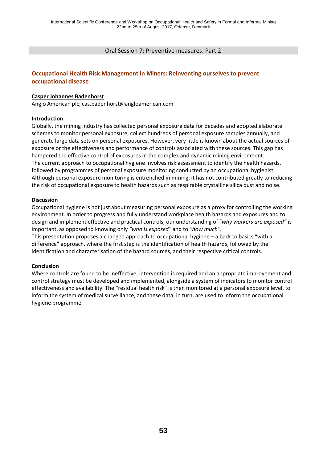Oral Session 7: Preventive measures. Part 2

# **Occupational Health Risk Management in Miners: Reinventing ourselves to prevent occupational disease**

### **Casper Johannes Badenhorst**

Anglo American plc; cas.badenhorst@angloamerican.com

### **Introduction**

Globally, the mining industry has collected personal exposure data for decades and adopted elaborate schemes to monitor personal exposure, collect hundreds of personal exposure samples annually, and generate large data sets on personal exposures. However, very little is known about the actual sources of exposure or the effectiveness and performance of controls associated with these sources. This gap has hampered the effective control of exposures in the complex and dynamic mining environment. The current approach to occupational hygiene involves risk assessment to identify the health hazards, followed by programmes of personal exposure monitoring conducted by an occupational hygienist. Although personal exposure monitoring is entrenched in mining, it has not contributed greatly to reducing the risk of occupational exposure to health hazards such as respirable crystalline silica dust and noise.

### **Discussion**

Occupational hygiene is not just about measuring personal exposure as a proxy for controlling the working environment. In order to progress and fully understand workplace health hazards and exposures and to design and implement effective and practical controls, our understanding of "*why workers are exposed"* is important, as opposed to knowing only *"who is exposed"* and to *"how much".*

This presentation proposes a changed approach to occupational hygiene – a back to basics "with a difference" approach, where the first step is the identification of health hazards, followed by the identification and characterisation of the hazard sources, and their respective critical controls.

### **Conclusion**

Where controls are found to be ineffective, intervention is required and an appropriate improvement and control strategy must be developed and implemented, alongside a system of indicators to monitor control effectiveness and availability. The "residual health risk" is then monitored at a personal exposure level, to inform the system of medical surveillance, and these data, in turn, are used to inform the occupational hygiene programme.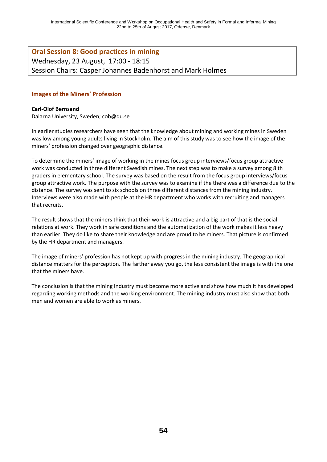**Oral Session 8: Good practices in mining** Wednesday, 23 August, 17:00 - 18:15 Session Chairs: Casper Johannes Badenhorst and Mark Holmes

# **Images of the Miners' Profession**

### **Carl-Olof Bernsand**

Dalarna University, Sweden; cob@du.se

In earlier studies researchers have seen that the knowledge about mining and working mines in Sweden was low among young adults living in Stockholm. The aim of this study was to see how the image of the miners' profession changed over geographic distance.

To determine the miners' image of working in the mines focus group interviews/focus group attractive work was conducted in three different Swedish mines. The next step was to make a survey among 8 th graders in elementary school. The survey was based on the result from the focus group interviews/focus group attractive work. The purpose with the survey was to examine if the there was a difference due to the distance. The survey was sent to six schools on three different distances from the mining industry. Interviews were also made with people at the HR department who works with recruiting and managers that recruits.

The result shows that the miners think that their work is attractive and a big part of that is the social relations at work. They work in safe conditions and the automatization of the work makes it less heavy than earlier. They do like to share their knowledge and are proud to be miners. That picture is confirmed by the HR department and managers.

The image of miners' profession has not kept up with progress in the mining industry. The geographical distance matters for the perception. The farther away you go, the less consistent the image is with the one that the miners have.

The conclusion is that the mining industry must become more active and show how much it has developed regarding working methods and the working environment. The mining industry must also show that both men and women are able to work as miners.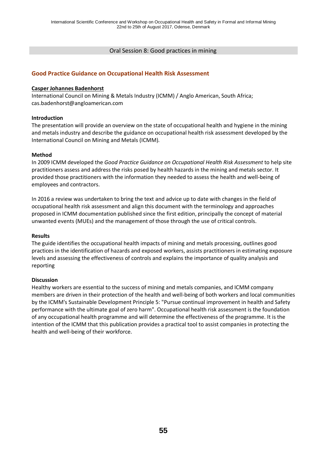## **Good Practice Guidance on Occupational Health Risk Assessment**

### **Casper Johannes Badenhorst**

International Council on Mining & Metals Industry (ICMM) / Anglo American, South Africa; cas.badenhorst@angloamerican.com

#### **Introduction**

The presentation will provide an overview on the state of occupational health and hygiene in the mining and metals industry and describe the guidance on occupational health risk assessment developed by the International Council on Mining and Metals (ICMM).

#### **Method**

In 2009 ICMM developed the *Good Practice Guidance on Occupational Health Risk Assessment* to help site practitioners assess and address the risks posed by health hazards in the mining and metals sector. It provided those practitioners with the information they needed to assess the health and well-being of employees and contractors.

In 2016 a review was undertaken to bring the text and advice up to date with changes in the field of occupational health risk assessment and align this document with the terminology and approaches proposed in ICMM documentation published since the first edition, principally the concept of material unwanted events (MUEs) and the management of those through the use of critical controls.

#### **Results**

The guide identifies the occupational health impacts of mining and metals processing, outlines good practices in the identification of hazards and exposed workers, assists practitioners in estimating exposure levels and assessing the effectiveness of controls and explains the importance of quality analysis and reporting

### **Discussion**

Healthy workers are essential to the success of mining and metals companies, and ICMM company members are driven in their protection of the health and well-being of both workers and local communities by the ICMM's Sustainable Development Principle 5: "Pursue continual improvement in health and Safety performance with the ultimate goal of zero harm". Occupational health risk assessment is the foundation of any occupational health programme and will determine the effectiveness of the programme. It is the intention of the ICMM that this publication provides a practical tool to assist companies in protecting the health and well-being of their workforce.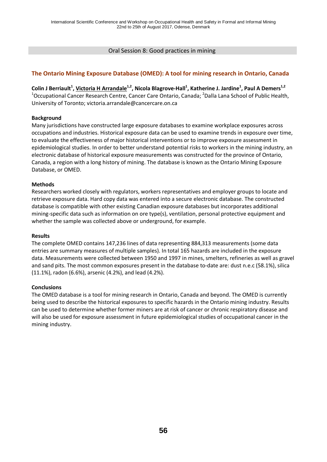# **The Ontario Mining Exposure Database (OMED): A tool for mining research in Ontario, Canada**

Colin J Berriault<sup>1</sup>, <u>Victoria H Arrandale<sup>1,2</sup>,</u> Nicola Blagrove-Hall<sup>1</sup>, Katherine J. Jardine<sup>1</sup>, Paul A Demers<sup>1,2</sup> <sup>1</sup>Occupational Cancer Research Centre, Cancer Care Ontario, Canada; <sup>2</sup>Dalla Lana School of Public Health, University of Toronto; victoria.arrandale@cancercare.on.ca

### **Background**

Many jurisdictions have constructed large exposure databases to examine workplace exposures across occupations and industries. Historical exposure data can be used to examine trends in exposure over time, to evaluate the effectiveness of major historical interventions or to improve exposure assessment in epidemiological studies. In order to better understand potential risks to workers in the mining industry, an electronic database of historical exposure measurements was constructed for the province of Ontario, Canada, a region with a long history of mining. The database is known as the Ontario Mining Exposure Database, or OMED.

### **Methods**

Researchers worked closely with regulators, workers representatives and employer groups to locate and retrieve exposure data. Hard copy data was entered into a secure electronic database. The constructed database is compatible with other existing Canadian exposure databases but incorporates additional mining-specific data such as information on ore type(s), ventilation, personal protective equipment and whether the sample was collected above or underground, for example.

### **Results**

The complete OMED contains 147,236 lines of data representing 884,313 measurements (some data entries are summary measures of multiple samples). In total 165 hazards are included in the exposure data. Measurements were collected between 1950 and 1997 in mines, smelters, refineries as well as gravel and sand pits. The most common exposures present in the database to-date are: dust n.e.c (58.1%), silica (11.1%), radon (6.6%), arsenic (4.2%), and lead (4.2%).

## **Conclusions**

The OMED database is a tool for mining research in Ontario, Canada and beyond. The OMED is currently being used to describe the historical exposures to specific hazards in the Ontario mining industry. Results can be used to determine whether former miners are at risk of cancer or chronic respiratory disease and will also be used for exposure assessment in future epidemiological studies of occupational cancer in the mining industry.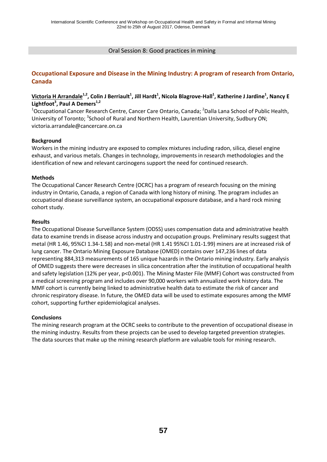# **Occupational Exposure and Disease in the Mining Industry: A program of research from Ontario, Canada**

# $V$ ictoria H Arrandale<sup>1,2</sup>, Colin J Berriault<sup>1</sup>, Jill Hardt<sup>1</sup>, Nicola Blagrove-Hall<sup>1</sup>, Katherine J Jardine<sup>1</sup>, Nancy E Lightfoot<sup>3</sup>, Paul A Demers<sup>1,2</sup>

<sup>1</sup>Occupational Cancer Research Centre, Cancer Care Ontario, Canada; <sup>2</sup>Dalla Lana School of Public Health, University of Toronto; <sup>3</sup>School of Rural and Northern Health, Laurentian University, Sudbury ON; victoria.arrandale@cancercare.on.ca

## **Background**

Workers in the mining industry are exposed to complex mixtures including radon, silica, diesel engine exhaust, and various metals. Changes in technology, improvements in research methodologies and the identification of new and relevant carcinogens support the need for continued research.

### **Methods**

The Occupational Cancer Research Centre (OCRC) has a program of research focusing on the mining industry in Ontario, Canada, a region of Canada with long history of mining. The program includes an occupational disease surveillance system, an occupational exposure database, and a hard rock mining cohort study.

### **Results**

The Occupational Disease Surveillance System (ODSS) uses compensation data and administrative health data to examine trends in disease across industry and occupation groups. Preliminary results suggest that metal (HR 1.46, 95%CI 1.34-1.58) and non-metal (HR 1.41 95%CI 1.01-1.99) miners are at increased risk of lung cancer. The Ontario Mining Exposure Database (OMED) contains over 147,236 lines of data representing 884,313 measurements of 165 unique hazards in the Ontario mining industry. Early analysis of OMED suggests there were decreases in silica concentration after the institution of occupational health and safety legislation (12% per year, p<0.001). The Mining Master File (MMF) Cohort was constructed from a medical screening program and includes over 90,000 workers with annualized work history data. The MMF cohort is currently being linked to administrative health data to estimate the risk of cancer and chronic respiratory disease. In future, the OMED data will be used to estimate exposures among the MMF cohort, supporting further epidemiological analyses.

## **Conclusions**

The mining research program at the OCRC seeks to contribute to the prevention of occupational disease in the mining industry. Results from these projects can be used to develop targeted prevention strategies. The data sources that make up the mining research platform are valuable tools for mining research.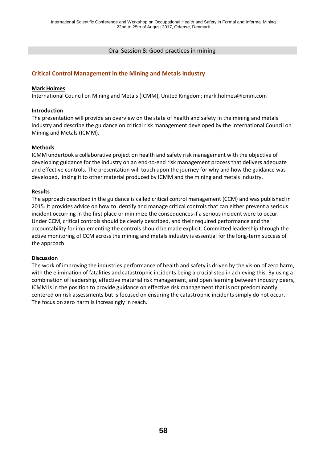## **Critical Control Management in the Mining and Metals Industry**

### **Mark Holmes**

International Council on Mining and Metals (ICMM), United Kingdom; mark.holmes@icmm.com

### **Introduction**

The presentation will provide an overview on the state of health and safety in the mining and metals industry and describe the guidance on critical risk management developed by the International Council on Mining and Metals (ICMM).

#### **Methods**

ICMM undertook a collaborative project on health and safety risk management with the objective of developing guidance for the industry on an end-to-end risk management process that delivers adequate and effective controls. The presentation will touch upon the journey for why and how the guidance was developed, linking it to other material produced by ICMM and the mining and metals industry.

#### **Results**

The approach described in the guidance is called critical control management (CCM) and was published in 2015. It provides advice on how to identify and manage critical controls that can either prevent a serious incident occurring in the first place or minimize the consequences if a serious incident were to occur. Under CCM, critical controls should be clearly described, and their required performance and the accountability for implementing the controls should be made explicit. Committed leadership through the active monitoring of CCM across the mining and metals industry is essential for the long-term success of the approach.

### **Discussion**

The work of improving the industries performance of health and safety is driven by the vision of zero harm, with the elimination of fatalities and catastrophic incidents being a crucial step in achieving this. By using a combination of leadership, effective material risk management, and open learning between industry peers, ICMM is in the position to provide guidance on effective risk management that is not predominantly centered on risk assessments but is focused on ensuring the catastrophic incidents simply do not occur. The focus on zero harm is increasingly in reach.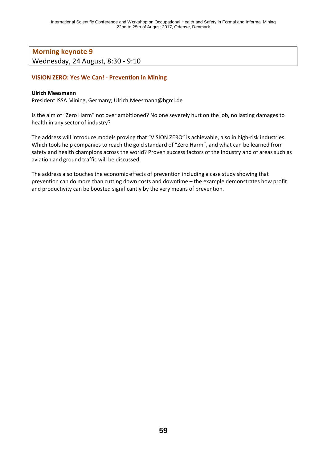**Morning keynote 9** Wednesday, 24 August, 8:30 - 9:10

# **VISION ZERO: Yes We Can! - Prevention in Mining**

### **Ulrich Meesmann**

President ISSA Mining, Germany; Ulrich.Meesmann@bgrci.de

Is the aim of "Zero Harm" not over ambitioned? No one severely hurt on the job, no lasting damages to health in any sector of industry?

The address will introduce models proving that "VISION ZERO" is achievable, also in high-risk industries. Which tools help companies to reach the gold standard of "Zero Harm", and what can be learned from safety and health champions across the world? Proven success factors of the industry and of areas such as aviation and ground traffic will be discussed.

The address also touches the economic effects of prevention including a case study showing that prevention can do more than cutting down costs and downtime – the example demonstrates how profit and productivity can be boosted significantly by the very means of prevention.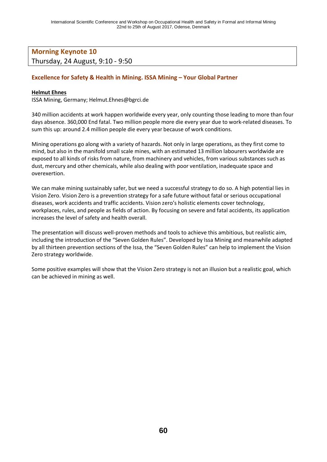**Morning Keynote 10** Thursday, 24 August, 9:10 - 9:50

# **Excellence for Safety & Health in Mining. ISSA Mining – Your Global Partner**

### **Helmut Ehnes**

ISSA Mining, Germany; Helmut.Ehnes@bgrci.de

340 million accidents at work happen worldwide every year, only counting those leading to more than four days absence. 360,000 End fatal. Two million people more die every year due to work-related diseases. To sum this up: around 2.4 million people die every year because of work conditions.

Mining operations go along with a variety of hazards. Not only in large operations, as they first come to mind, but also in the manifold small scale mines, with an estimated 13 million labourers worldwide are exposed to all kinds of risks from nature, from machinery and vehicles, from various substances such as dust, mercury and other chemicals, while also dealing with poor ventilation, inadequate space and overexertion.

We can make mining sustainably safer, but we need a successful strategy to do so. A high potential lies in Vision Zero. Vision Zero is a prevention strategy for a safe future without fatal or serious occupational diseases, work accidents and traffic accidents. Vision zero's holistic elements cover technology, workplaces, rules, and people as fields of action. By focusing on severe and fatal accidents, its application increases the level of safety and health overall.

The presentation will discuss well-proven methods and tools to achieve this ambitious, but realistic aim, including the introduction of the "Seven Golden Rules". Developed by Issa Mining and meanwhile adapted by all thirteen prevention sections of the Issa, the "Seven Golden Rules" can help to implement the Vision Zero strategy worldwide.

Some positive examples will show that the Vision Zero strategy is not an illusion but a realistic goal, which can be achieved in mining as well.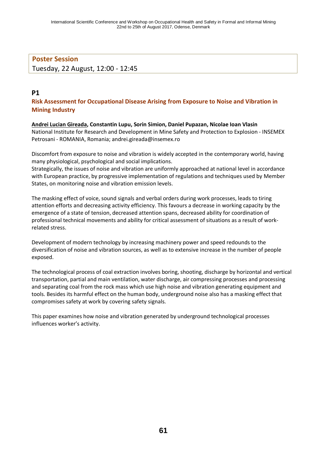# **Poster Session** Tuesday, 22 August, 12:00 - 12:45

# **P1**

# **Risk Assessment for Occupational Disease Arising from Exposure to Noise and Vibration in Mining Industry**

## **Andrei Lucian Gireada, Constantin Lupu, Sorin Simion, Daniel Pupazan, Nicolae Ioan Vlasin** National Institute for Research and Development in Mine Safety and Protection to Explosion - INSEMEX Petrosani - ROMANIA, Romania; andrei.gireada@insemex.ro

Discomfort from exposure to noise and vibration is widely accepted in the contemporary world, having many physiological, psychological and social implications.

Strategically, the issues of noise and vibration are uniformly approached at national level in accordance with European practice, by progressive implementation of regulations and techniques used by Member States, on monitoring noise and vibration emission levels.

The masking effect of voice, sound signals and verbal orders during work processes, leads to tiring attention efforts and decreasing activity efficiency. This favours a decrease in working capacity by the emergence of a state of tension, decreased attention spans, decreased ability for coordination of professional technical movements and ability for critical assessment of situations as a result of workrelated stress.

Development of modern technology by increasing machinery power and speed redounds to the diversification of noise and vibration sources, as well as to extensive increase in the number of people exposed.

The technological process of coal extraction involves boring, shooting, discharge by horizontal and vertical transportation, partial and main ventilation, water discharge, air compressing processes and processing and separating coal from the rock mass which use high noise and vibration generating equipment and tools. Besides its harmful effect on the human body, underground noise also has a masking effect that compromises safety at work by covering safety signals.

This paper examines how noise and vibration generated by underground technological processes influences worker's activity.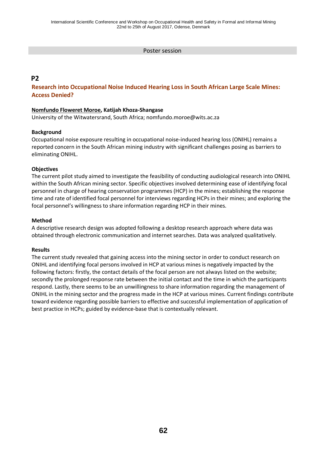# **P2**

# **Research into Occupational Noise Induced Hearing Loss in South African Large Scale Mines: Access Denied?**

### **Nomfundo Floweret Moroe, Katijah Khoza-Shangase**

University of the Witwatersrand, South Africa; nomfundo.moroe@wits.ac.za

### **Background**

Occupational noise exposure resulting in occupational noise-induced hearing loss (ONIHL) remains a reported concern in the South African mining industry with significant challenges posing as barriers to eliminating ONIHL.

### **Objectives**

The current pilot study aimed to investigate the feasibility of conducting audiological research into ONIHL within the South African mining sector. Specific objectives involved determining ease of identifying focal personnel in charge of hearing conservation programmes (HCP) in the mines; establishing the response time and rate of identified focal personnel for interviews regarding HCPs in their mines; and exploring the focal personnel's willingness to share information regarding HCP in their mines.

### **Method**

A descriptive research design was adopted following a desktop research approach where data was obtained through electronic communication and internet searches. Data was analyzed qualitatively.

## **Results**

The current study revealed that gaining access into the mining sector in order to conduct research on ONIHL and identifying focal persons involved in HCP at various mines is negatively impacted by the following factors: firstly, the contact details of the focal person are not always listed on the website; secondly the prolonged response rate between the initial contact and the time in which the participants respond. Lastly, there seems to be an unwillingness to share information regarding the management of ONIHL in the mining sector and the progress made in the HCP at various mines. Current findings contribute toward evidence regarding possible barriers to effective and successful implementation of application of best practice in HCPs; guided by evidence-base that is contextually relevant.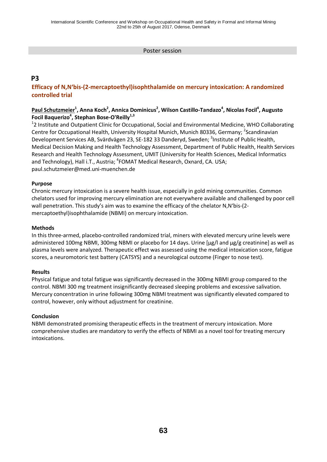# **P3**

# **Efficacy of N,N'bis-(2-mercaptoethyl)isophthalamide on mercury intoxication: A randomized controlled trial**

## Paul Schutzmeier<sup>1</sup>, Anna Koch<sup>2</sup>, Annica Dominicus<sup>2</sup>, Wilson Castillo-Tandazo<sup>4</sup>, Nicolas Focil<sup>4</sup>, Augusto **Focil Baquerizo<sup>4</sup> , Stephan Bose-O'Reilly1,3**

<sup>1</sup>2 Institute and Outpatient Clinic for Occupational, Social and Environmental Medicine, WHO Collaborating Centre for Occupational Health, University Hospital Munich, Munich 80336, Germany; <sup>2</sup>Scandinavian Development Services AB, Svärdvägen 23, SE-182 33 Danderyd, Sweden; <sup>3</sup>Institute of Public Health, Medical Decision Making and Health Technology Assessment, Department of Public Health, Health Services Research and Health Technology Assessment, UMIT (University for Health Sciences, Medical Informatics and Technology), Hall i.T., Austria; <sup>4</sup>FOMAT Medical Research, Oxnard, CA. USA; paul.schutzmeier@med.uni-muenchen.de

## **Purpose**

Chronic mercury intoxication is a severe health issue, especially in gold mining communities. Common chelators used for improving mercury elimination are not everywhere available and challenged by poor cell wall penetration. This study's aim was to examine the efficacy of the chelator N,N'bis-(2 mercaptoethyl)isophthalamide (NBMI) on mercury intoxication.

### **Methods**

In this three-armed, placebo-controlled randomized trial, miners with elevated mercury urine levels were administered 100mg NBMI, 300mg NBMI or placebo for 14 days. Urine [µg/l and µg/g creatinine] as well as plasma levels were analyzed. Therapeutic effect was assessed using the medical intoxication score, fatigue scores, a neuromotoric test battery (CATSYS) and a neurological outcome (Finger to nose test).

### **Results**

Physical fatigue and total fatigue was significantly decreased in the 300mg NBMI group compared to the control. NBMI 300 mg treatment insignificantly decreased sleeping problems and excessive salivation. Mercury concentration in urine following 300mg NBMI treatment was significantly elevated compared to control, however, only without adjustment for creatinine.

## **Conclusion**

NBMI demonstrated promising therapeutic effects in the treatment of mercury intoxication. More comprehensive studies are mandatory to verify the effects of NBMI as a novel tool for treating mercury intoxications.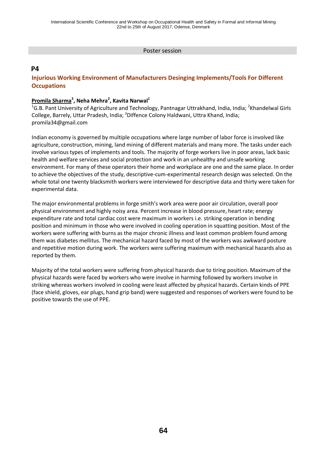# **P4**

# **Injurious Working Environment of Manufacturers Desinging Implements/Tools For Different Occupations**

# **Promila Sharma<sup>3</sup> , Neha Mehra<sup>2</sup> , Kavita Narwal1**

<sup>1</sup>G.B. Pant University of Agriculture and Technology, Pantnagar Uttrakhand, India, India; <sup>2</sup>Khandelwal Girls College, Barrely, Uttar Pradesh, India; <sup>3</sup>Diffence Colony Haldwani, Uttra Khand, India; promila34@gmail.com

Indian economy is governed by multiple occupations where large number of labor force is involved like agriculture, construction, mining, land mining of different materials and many more. The tasks under each involve various types of implements and tools. The majority of forge workers live in poor areas, lack basic health and welfare services and social protection and work in an unhealthy and unsafe working environment. For many of these operators their home and workplace are one and the same place. In order to achieve the objectives of the study, descriptive-cum-experimental research design was selected. On the whole total one twenty blacksmith workers were interviewed for descriptive data and thirty were taken for experimental data.

The major environmental problems in forge smith's work area were poor air circulation, overall poor physical environment and highly noisy area. Percent increase in blood pressure, heart rate; energy expenditure rate and total cardiac cost were maximum in workers i.e. striking operation in bending position and minimum in those who were involved in cooling operation in squatting position. Most of the workers were suffering with burns as the major chronic illness and least common problem found among them was diabetes mellitus. The mechanical hazard faced by most of the workers was awkward posture and repetitive motion during work. The workers were suffering maximum with mechanical hazards also as reported by them.

Majority of the total workers were suffering from physical hazards due to tiring position. Maximum of the physical hazards were faced by workers who were involve in harming followed by workers involve in striking whereas workers involved in cooling were least affected by physical hazards. Certain kinds of PPE (face shield, gloves, ear plugs, hand grip band) were suggested and responses of workers were found to be positive towards the use of PPE.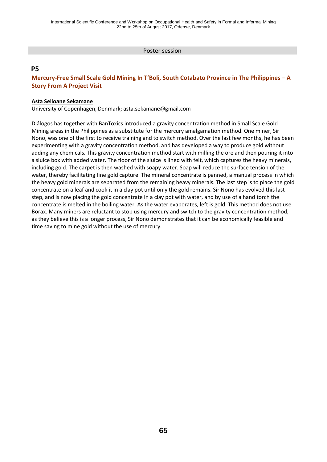# **P5**

# **Mercury-Free Small Scale Gold Mining In T'Boli, South Cotabato Province in The Philippines – A Story From A Project Visit**

### **Asta Selloane Sekamane**

University of Copenhagen, Denmark; asta.sekamane@gmail.com

Diálogos has together with BanToxics introduced a gravity concentration method in Small Scale Gold Mining areas in the Philippines as a substitute for the mercury amalgamation method. One miner, Sir Nono, was one of the first to receive training and to switch method. Over the last few months, he has been experimenting with a gravity concentration method, and has developed a way to produce gold without adding any chemicals. This gravity concentration method start with milling the ore and then pouring it into a sluice box with added water. The floor of the sluice is lined with felt, which captures the heavy minerals, including gold. The carpet is then washed with soapy water. Soap will reduce the surface tension of the water, thereby facilitating fine gold capture. The mineral concentrate is panned, a manual process in which the heavy gold minerals are separated from the remaining heavy minerals. The last step is to place the gold concentrate on a leaf and cook it in a clay pot until only the gold remains. Sir Nono has evolved this last step, and is now placing the gold concentrate in a clay pot with water, and by use of a hand torch the concentrate is melted in the boiling water. As the water evaporates, left is gold. This method does not use Borax. Many miners are reluctant to stop using mercury and switch to the gravity concentration method, as they believe this is a longer process, Sir Nono demonstrates that it can be economically feasible and time saving to mine gold without the use of mercury.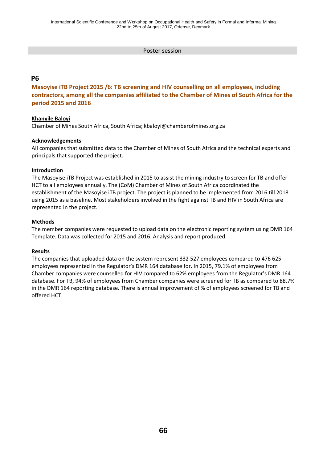# **P6**

**Masoyise iTB Project 2015 /6: TB screening and HIV counselling on all employees, including contractors, among all the companies affiliated to the Chamber of Mines of South Africa for the period 2015 and 2016**

## **Khanyile Baloyi**

Chamber of Mines South Africa, South Africa; kbaloyi@chamberofmines.org.za

## **Acknowledgements**

All companies that submitted data to the Chamber of Mines of South Africa and the technical experts and principals that supported the project.

## **Introduction**

The Masoyise iTB Project was established in 2015 to assist the mining industry to screen for TB and offer HCT to all employees annually. The (CoM) Chamber of Mines of South Africa coordinated the establishment of the Masoyise iTB project. The project is planned to be implemented from 2016 till 2018 using 2015 as a baseline. Most stakeholders involved in the fight against TB and HIV in South Africa are represented in the project.

## **Methods**

The member companies were requested to upload data on the electronic reporting system using DMR 164 Template. Data was collected for 2015 and 2016. Analysis and report produced.

## **Results**

The companies that uploaded data on the system represent 332 527 employees compared to 476 625 employees represented in the Regulator's DMR 164 database for. In 2015, 79.1% of employees from Chamber companies were counselled for HIV compared to 62% employees from the Regulator's DMR 164 database. For TB, 94% of employees from Chamber companies were screened for TB as compared to 88.7% in the DMR 164 reporting database. There is annual improvement of % of employees screened for TB and offered HCT.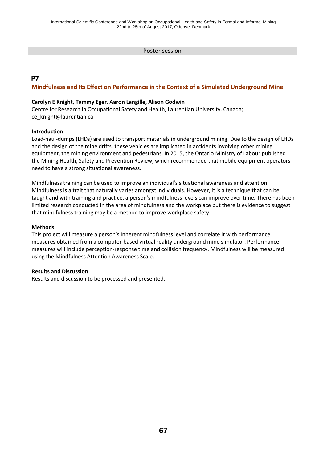# **P7**

## **Mindfulness and Its Effect on Performance in the Context of a Simulated Underground Mine**

### **Carolyn E Knight, Tammy Eger, Aaron Langille, Alison Godwin**

Centre for Research in Occupational Safety and Health, Laurentian University, Canada; ce\_knight@laurentian.ca

### **Introduction**

Load-haul-dumps (LHDs) are used to transport materials in underground mining. Due to the design of LHDs and the design of the mine drifts, these vehicles are implicated in accidents involving other mining equipment, the mining environment and pedestrians. In 2015, the Ontario Ministry of Labour published the Mining Health, Safety and Prevention Review, which recommended that mobile equipment operators need to have a strong situational awareness.

Mindfulness training can be used to improve an individual's situational awareness and attention. Mindfulness is a trait that naturally varies amongst individuals. However, it is a technique that can be taught and with training and practice, a person's mindfulness levels can improve over time. There has been limited research conducted in the area of mindfulness and the workplace but there is evidence to suggest that mindfulness training may be a method to improve workplace safety.

### **Methods**

This project will measure a person's inherent mindfulness level and correlate it with performance measures obtained from a computer-based virtual reality underground mine simulator. Performance measures will include perception-response time and collision frequency. Mindfulness will be measured using the Mindfulness Attention Awareness Scale.

### **Results and Discussion**

Results and discussion to be processed and presented.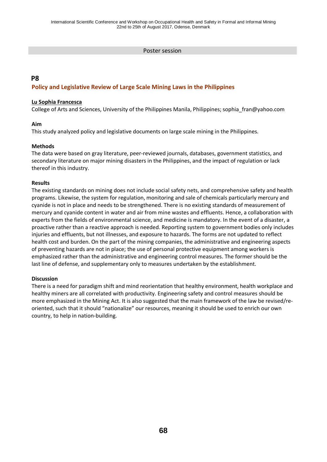# **P8**

# **Policy and Legislative Review of Large Scale Mining Laws in the Philippines**

## **Lu Sophia Francesca**

College of Arts and Sciences, University of the Philippines Manila, Philippines; sophia\_fran@yahoo.com

## **Aim**

This study analyzed policy and legislative documents on large scale mining in the Philippines.

## **Methods**

The data were based on gray literature, peer-reviewed journals, databases, government statistics, and secondary literature on major mining disasters in the Philippines, and the impact of regulation or lack thereof in this industry.

## **Results**

The existing standards on mining does not include social safety nets, and comprehensive safety and health programs. Likewise, the system for regulation, monitoring and sale of chemicals particularly mercury and cyanide is not in place and needs to be strengthened. There is no existing standards of measurement of mercury and cyanide content in water and air from mine wastes and effluents. Hence, a collaboration with experts from the fields of environmental science, and medicine is mandatory. In the event of a disaster, a proactive rather than a reactive approach is needed. Reporting system to government bodies only includes injuries and effluents, but not illnesses, and exposure to hazards. The forms are not updated to reflect health cost and burden. On the part of the mining companies, the administrative and engineering aspects of preventing hazards are not in place; the use of personal protective equipment among workers is emphasized rather than the administrative and engineering control measures. The former should be the last line of defense, and supplementary only to measures undertaken by the establishment.

## **Discussion**

There is a need for paradigm shift and mind reorientation that healthy environment, health workplace and healthy miners are all correlated with productivity. Engineering safety and control measures should be more emphasized in the Mining Act. It is also suggested that the main framework of the law be revised/reoriented, such that it should "nationalize" our resources, meaning it should be used to enrich our own country, to help in nation-building.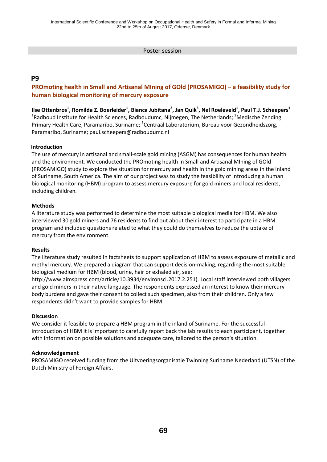# **P9**

# **PROmoting health in Small and Artisanal MIning of GOld (PROSAMIGO) – a feasibility study for human biological monitoring of mercury exposure**

**Ilse Ottenbros<sup>1</sup>, Romilda Z. Boerleider<sup>1</sup>, Bianca Jubitana<sup>2</sup>, Jan Quik<sup>3</sup>, Nel Roeleveld<sup>1</sup>, <u>Paul T.J. Scheepers</u><sup>1</sup>** 

<sup>1</sup>Radboud Institute for Health Sciences, Radboudumc, Nijmegen, The Netherlands; <sup>2</sup>Medische Zending Primary Health Care, Paramaribo, Suriname; <sup>3</sup>Centraal Laboratorium, Bureau voor Gezondheidszorg, Paramaribo, Suriname; paul.scheepers@radboudumc.nl

## **Introduction**

The use of mercury in artisanal and small-scale gold mining (ASGM) has consequences for human health and the environment. We conducted the PROmoting health in Small and Artisanal MIning of GOld (PROSAMIGO) study to explore the situation for mercury and health in the gold mining areas in the inland of Suriname, South America. The aim of our project was to study the feasibility of introducing a human biological monitoring (HBM) program to assess mercury exposure for gold miners and local residents, including children.

## **Methods**

A literature study was performed to determine the most suitable biological media for HBM. We also interviewed 30 gold miners and 76 residents to find out about their interest to participate in a HBM program and included questions related to what they could do themselves to reduce the uptake of mercury from the environment.

## **Results**

The literature study resulted in factsheets to support application of HBM to assess exposure of metallic and methyl mercury. We prepared a diagram that can support decision-making, regarding the most suitable biological medium for HBM (blood, urine, hair or exhaled air, see:

http://www.aimspress.com/article/10.3934/environsci.2017.2.251). Local staff interviewed both villagers and gold miners in their native language. The respondents expressed an interest to know their mercury body burdens and gave their consent to collect such specimen, also from their children. Only a few respondents didn't want to provide samples for HBM.

## **Discussion**

We consider it feasible to prepare a HBM program in the inland of Suriname. For the successful introduction of HBM it is important to carefully report back the lab results to each participant, together with information on possible solutions and adequate care, tailored to the person's situation.

## **Acknowledgement**

PROSAMIGO received funding from the Uitvoeringsorganisatie Twinning Suriname Nederland (UTSN) of the Dutch Ministry of Foreign Affairs.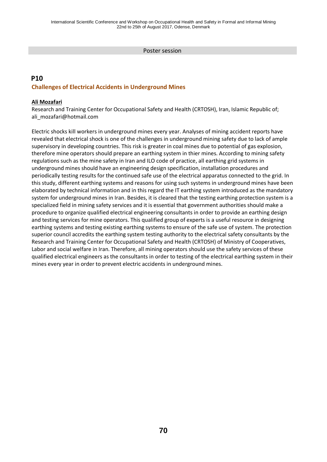# **P10 Challenges of Electrical Accidents in Underground Mines**

## **Ali Mozafari**

Research and Training Center for Occupational Safety and Health (CRTOSH), Iran, Islamic Republic of; ali mozafari@hotmail.com

Electric shocks kill workers in underground mines every year. Analyses of mining accident reports have revealed that electrical shock is one of the challenges in underground mining safety due to lack of ample supervisory in developing countries. This risk is greater in coal mines due to potential of gas explosion, therefore mine operators should prepare an earthing system in thier mines. According to mining safety regulations such as the mine safety in Iran and ILO code of practice, all earthing grid systems in underground mines should have an engineering design specification, installation procedures and periodically testing results for the continued safe use of the electrical apparatus connected to the grid. In this study, different earthing systems and reasons for using such systems in underground mines have been elaborated by technical information and in this regard the IT earthing system introduced as the mandatory system for underground mines in Iran. Besides, it is cleared that the testing earthing protection system is a specialized field in mining safety services and it is essential that government authorities should make a procedure to organize qualified electrical engineering consultants in order to provide an earthing design and testing services for mine operators. This qualified group of experts is a useful resource in designing earthing systems and testing existing earthing systems to ensure of the safe use of system. The protection superior council accredits the earthing system testing authority to the electrical safety consultants by the Research and Training Center for Occupational Safety and Health (CRTOSH) of Ministry of Cooperatives, Labor and social welfare in Iran. Therefore, all mining operators should use the safety services of these qualified electrical engineers as the consultants in order to testing of the electrical earthing system in their mines every year in order to prevent electric accidents in underground mines.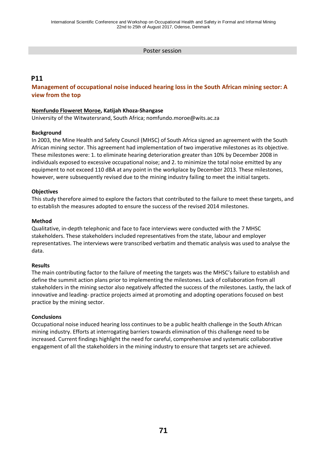# **P11**

# **Management of occupational noise induced hearing loss in the South African mining sector: A view from the top**

## **Nomfundo Floweret Moroe, Katijah Khoza-Shangase**

University of the Witwatersrand, South Africa; nomfundo.moroe@wits.ac.za

### **Background**

In 2003, the Mine Health and Safety Council (MHSC) of South Africa signed an agreement with the South African mining sector. This agreement had implementation of two imperative milestones as its objective. These milestones were: 1. to eliminate hearing deterioration greater than 10% by December 2008 in individuals exposed to excessive occupational noise; and 2. to minimize the total noise emitted by any equipment to not exceed 110 dBA at any point in the workplace by December 2013. These milestones, however, were subsequently revised due to the mining industry failing to meet the initial targets.

### **Objectives**

This study therefore aimed to explore the factors that contributed to the failure to meet these targets, and to establish the measures adopted to ensure the success of the revised 2014 milestones.

### **Method**

Qualitative, in-depth telephonic and face to face interviews were conducted with the 7 MHSC stakeholders. These stakeholders included representatives from the state, labour and employer representatives. The interviews were transcribed verbatim and thematic analysis was used to analyse the data.

### **Results**

The main contributing factor to the failure of meeting the targets was the MHSC's failure to establish and define the summit action plans prior to implementing the milestones. Lack of collaboration from all stakeholders in the mining sector also negatively affected the success of the milestones. Lastly, the lack of innovative and leading- practice projects aimed at promoting and adopting operations focused on best practice by the mining sector.

## **Conclusions**

Occupational noise induced hearing loss continues to be a public health challenge in the South African mining industry. Efforts at interrogating barriers towards elimination of this challenge need to be increased. Current findings highlight the need for careful, comprehensive and systematic collaborative engagement of all the stakeholders in the mining industry to ensure that targets set are achieved.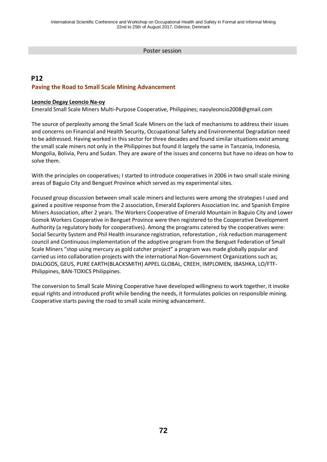# **P12 Paving the Road to Small Scale Mining Advancement**

### **Leoncio Degay Leoncio Na-oy**

Emerald Small Scale Miners Multi-Purpose Cooperative, Philippines; naoyleoncio2008@gmail.com

The source of perplexity among the Small Scale Miners on the lack of mechanisms to address their issues and concerns on Financial and Health Security, Occupational Safety and Environmental Degradation need to be addressed. Having worked in this sector for three decades and found similar situations exist among the small scale miners not only in the Philippines but found it largely the same in Tanzania, Indonesia, Mongolia, Bolivia, Peru and Sudan. They are aware of the issues and concerns but have no ideas on how to solve them.

With the principles on cooperatives; I started to introduce cooperatives in 2006 in two small scale mining areas of Baguio City and Benguet Province which served as my experimental sites.

Focused group discussion between small scale miners and lectures were among the strategies I used and gained a positive response from the 2 association, Emerald Explorers Association Inc. and Spanish Empire Miners Association, after 2 years. The Workers Cooperative of Emerald Mountain in Baguio City and Lower Gomok Workers Cooperative in Benguet Province were then registered to the Cooperative Development Authority (a regulatory body for cooperatives). Among the programs catered by the cooperatives were: Social Security System and Phil Health insurance registration, reforestation , risk reduction management council and Continuous implementation of the adoptive program from the Benguet Federation of Small Scale Miners "stop using mercury as gold catcher project" a program was made globally popular and carried us into collaboration projects with the international Non-Government Organizations such as; DIALOGOS, GEUS, PURE EARTH(BLACKSMITH) APPEL GLOBAL, CREEH, IMPLOMEN, IBASHKA, LO/FTF-Philippines, BAN-TOXICS Philippines.

The conversion to Small Scale Mining Cooperative have developed willingness to work together, it invoke equal rights and introduced profit while bending the needs, it formulates policies on responsible mining. Cooperative starts paving the road to small scale mining advancement.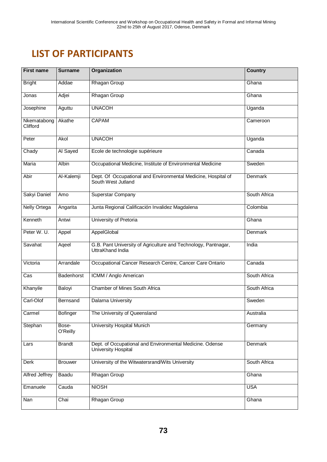## **LIST OF PARTICIPANTS**

| <b>First name</b>       | <b>Surname</b>    | <b>Organization</b>                                                                 | <b>Country</b> |
|-------------------------|-------------------|-------------------------------------------------------------------------------------|----------------|
| <b>Bright</b>           | Addae             | Rhagan Group                                                                        | Ghana          |
| Jonas                   | Adjei             | Rhagan Group                                                                        | Ghana          |
| Josephine               | Aguttu            | <b>UNACOH</b>                                                                       | Uganda         |
| Nkematabong<br>Clifford | Akathe            | <b>CAPAM</b>                                                                        | Cameroon       |
| Peter                   | Akol              | <b>UNACOH</b>                                                                       | Uganda         |
| Chady                   | Al Sayed          | Ecole de technologie supérieure                                                     | Canada         |
| <b>Maria</b>            | <b>Albin</b>      | Occupational Medicine, Institute of Environmental Medicine                          | Sweden         |
| Abir                    | Al-Kalemji        | Dept. Of Occupational and Environmental Medicine, Hospital of<br>South West Jutland | Denmark        |
| Sakyi Daniel            | Amo               | <b>Superstar Company</b>                                                            | South Africa   |
| <b>Nelly Ortega</b>     | Angarita          | Junta Regional Calificación Invalidez Magdalena                                     | Colombia       |
| Kenneth                 | Antwi             | University of Pretoria                                                              | Ghana          |
| Peter W. U.             | Appel             | AppelGlobal                                                                         | Denmark        |
| Savahat                 | Aqeel             | G.B. Pant University of Agriculture and Technology, Pantnagar,<br>UttraKhand India  | India          |
| Victoria                | Arrandale         | Occupational Cancer Research Centre, Cancer Care Ontario                            | Canada         |
| Cas                     | Badenhorst        | ICMM / Anglo American                                                               | South Africa   |
| Khanyile                | Baloyi            | Chamber of Mines South Africa                                                       | South Africa   |
| Carl-Olof               | Bernsand          | <b>Dalarna University</b>                                                           | Sweden         |
| Carmel                  | Bofinger          | The University of Queensland                                                        | Australia      |
| Stephan                 | Bose-<br>O'Reilly | University Hospital Munich                                                          | Germany        |
| Lars                    | <b>Brandt</b>     | Dept. of Occupational and Environmental Medicine. Odense<br>University Hospital     | Denmark        |
| Derk                    | <b>Brouwer</b>    | University of the Witwatersrand/Wits University                                     | South Africa   |
| Alfred Jeffrey          | Baadu             | Rhagan Group                                                                        | Ghana          |
| Emanuele                | Cauda             | <b>NIOSH</b>                                                                        | <b>USA</b>     |
| Nan                     | Chai              | Rhagan Group                                                                        | Ghana          |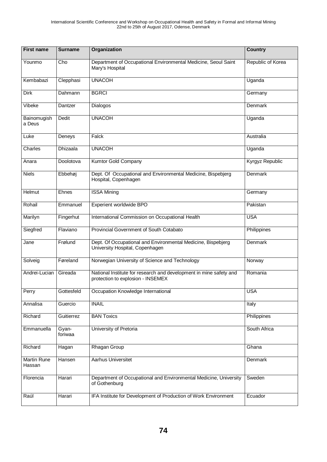| <b>First name</b>     | <b>Surname</b>   | Organization                                                                                            | <b>Country</b>    |
|-----------------------|------------------|---------------------------------------------------------------------------------------------------------|-------------------|
| Younmo                | Cho              | Department of Occupational Environmental Medicine, Seoul Saint<br>Mary's Hospital                       | Republic of Korea |
| Kembabazi             | Clepphasi        | <b>UNACOH</b>                                                                                           | Uganda            |
| <b>Dirk</b>           | Dahmann          | <b>BGRCI</b>                                                                                            | Germany           |
| Vibeke                | Dantzer          | Dialogos                                                                                                | Denmark           |
| Bainomugish<br>a Deus | Dedit            | <b>UNACOH</b>                                                                                           | Uganda            |
| Luke                  | Deneys           | Falck                                                                                                   | Australia         |
| Charles               | Dhizaala         | <b>UNACOH</b>                                                                                           | Uganda            |
| Anara                 | Doolotova        | Kumtor Gold Company                                                                                     | Kyrgyz Republic   |
| <b>Niels</b>          | Ebbehøj          | Dept. Of Occupational and Environmental Medicine, Bispebjerg<br>Hospital, Copenhagen                    | Denmark           |
| Helmut                | Ehnes            | <b>ISSA Mining</b>                                                                                      | Germany           |
| Rohail                | Emmanuel         | Experient worldwide BPO                                                                                 | Pakistan          |
| Marilyn               | Fingerhut        | International Commission on Occupational Health                                                         | <b>USA</b>        |
| Siegfred              | Flaviano         | Provincial Government of South Cotabato                                                                 | Philippines       |
| Jane                  | Frølund          | Dept. Of Occupational and Environmental Medicine, Bispebjerg<br>University Hospital, Copenhagen         | Denmark           |
| Solveig               | Føreland         | Norwegian University of Science and Technology                                                          | Norway            |
| Andrei-Lucian         | Gireada          | National Institute for research and development in mine safety and<br>protection to explosion - INSEMEX | Romania           |
| Perry                 | Gottesfeld       | Occupation Knowledge International                                                                      | <b>USA</b>        |
| Annalisa              | Guercio          | <b>INAIL</b>                                                                                            | Italy             |
| Richard               | Guitierrez       | <b>BAN Toxics</b>                                                                                       | Philippines       |
| Emmanuella            | Gyan-<br>foriwaa | University of Pretoria                                                                                  | South Africa      |
| Richard               | Hagan            | Rhagan Group                                                                                            | Ghana             |
| Martin Rune<br>Hassan | Hansen           | <b>Aarhus Universitet</b>                                                                               | Denmark           |
| Florencia             | Harari           | Department of Occupational and Environmental Medicine, University<br>of Gothenburg                      | Sweden            |
| Raúl                  | Harari           | IFA Institute for Development of Production of Work Environment                                         | Ecuador           |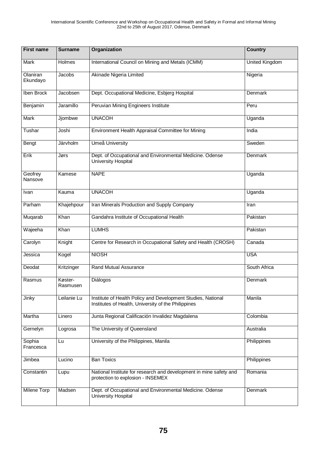| <b>First name</b>    | <b>Surname</b>      | Organization                                                                                                        | <b>Country</b>        |
|----------------------|---------------------|---------------------------------------------------------------------------------------------------------------------|-----------------------|
| Mark                 | Holmes              | International Council on Mining and Metals (ICMM)                                                                   | <b>United Kingdom</b> |
| Olaniran<br>Ekundayo | Jacobs              | Akinade Nigeria Limited                                                                                             | Nigeria               |
| Iben Brock           | Jacobsen            | Dept. Occupational Medicine, Esbjerg Hospital                                                                       | Denmark               |
| Benjamin             | Jaramillo           | Peruvian Mining Engineers Institute                                                                                 | Peru                  |
| Mark                 | Jjombwe             | <b>UNACOH</b>                                                                                                       | Uganda                |
| Tushar               | Joshi               | Environment Health Appraisal Committee for Mining                                                                   | India                 |
| Bengt                | Järvholm            | Umeå University                                                                                                     | Sweden                |
| Erik                 | Jørs                | Dept. of Occupational and Environmental Medicine. Odense<br>University Hospital                                     | Denmark               |
| Geofrey<br>Nansove   | Kamese              | <b>NAPE</b>                                                                                                         | Uganda                |
| Ivan                 | Kauma               | <b>UNACOH</b>                                                                                                       | Uganda                |
| Parham               | Khajehpour          | Iran Minerals Production and Supply Company                                                                         | Iran                  |
| Muqarab              | Khan                | Gandahra Institute of Occupational Health                                                                           | Pakistan              |
| Wajeeha              | Khan                | <b>LUMHS</b>                                                                                                        | Pakistan              |
| Carolyn              | Knight              | Centre for Research in Occupational Safety and Health (CROSH)                                                       | Canada                |
| Jessica              | Kogel               | <b>NIOSH</b>                                                                                                        | <b>USA</b>            |
| Deodat               | Kritzinger          | <b>Rand Mutual Assurance</b>                                                                                        | South Africa          |
| Rasmus               | Køster-<br>Rasmusen | Diálogos                                                                                                            | Denmark               |
| Jinky                | Leilanie Lu         | Institute of Health Policy and Development Studies, National<br>Institutes of Health, University of the Philippines | Manila                |
| Martha               | Linero              | Junta Regional Calificación Invalidez Magdalena                                                                     | Colombia              |
| Gernelyn             | Logrosa             | The University of Queensland                                                                                        | Australia             |
| Sophia<br>Francesca  | Lu                  | University of the Philippines, Manila                                                                               | Philippines           |
| Jimbea               | Lucino              | <b>Ban Toxics</b>                                                                                                   | Philippines           |
| Constantin           | Lupu                | National Institute for research and development in mine safety and<br>protection to explosion - INSEMEX             | Romania               |
| <b>Milene Torp</b>   | Madsen              | Dept. of Occupational and Environmental Medicine. Odense<br>University Hospital                                     | Denmark               |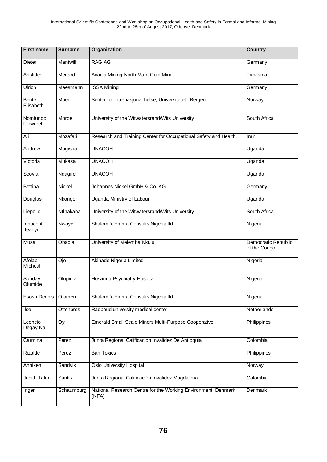| <b>First name</b>         | <b>Surname</b>   | Organization                                                           | <b>Country</b>                      |
|---------------------------|------------------|------------------------------------------------------------------------|-------------------------------------|
| Dieter                    | Mantwill         | RAG AG                                                                 | Germany                             |
| <b>Aristides</b>          | Medard           | Acacia Mining-North Mara Gold Mine                                     | Tanzania                            |
| Ulrich                    | Meesmann         | <b>ISSA Mining</b>                                                     | Germany                             |
| <b>Bente</b><br>Elisabeth | Moen             | Senter for internasjonal helse, Universitetet i Bergen                 | Norway                              |
| Nomfundo<br>Floweret      | Moroe            | University of the Witwatersrand/Wits University                        | South Africa                        |
| Ali                       | Mozafari         | Research and Training Center for Occupational Safety and Health        | Iran                                |
| Andrew                    | Mugisha          | <b>UNACOH</b>                                                          | Uganda                              |
| Victoria                  | Mukasa           | <b>UNACOH</b>                                                          | Uganda                              |
| Scovia                    | Ndagire          | <b>UNACOH</b>                                                          | Uganda                              |
| <b>Bettina</b>            | <b>Nickel</b>    | Johannes Nickel GmbH & Co. KG                                          | Germany                             |
| Douglas                   | Nkonge           | Uganda Ministry of Labour                                              | Uganda                              |
| Liepollo                  | Ntlhakana        | University of the Witwatersrand/Wits University                        | South Africa                        |
| Innocent<br>Ifeanyi       | Nwoye            | Shalom & Emma Consults Nigeria Itd                                     | Nigeria                             |
| Musa                      | Obadia           | University of Melemba Nkulu                                            | Democratic Republic<br>of the Congo |
| Afolabi<br>Micheal        | Ojo              | Akinade Nigeria Limited                                                | Nigeria                             |
| Sunday<br>Olumide         | Olupinla         | Hosanna Psychiatry Hospital                                            | Nigeria                             |
| Esosa Dennis              | Otamere          | Shalom & Emma Consults Nigeria Itd                                     | Nigeria                             |
| Ilse                      | <b>Ottenbros</b> | Radboud university medical center                                      | Netherlands                         |
| Leoncio<br>Degay Na       | Oy               | Emerald Small Scale Miners Multi-Purpose Cooperative                   | Philippines                         |
| Carmina                   | Perez            | Junta Regional Calificación Invalidez De Antioquia                     | Colombia                            |
| Rizalde                   | Perez            | <b>Ban Toxics</b>                                                      | Philippines                         |
| Anniken                   | Sandvik          | <b>Oslo University Hospital</b>                                        | Norway                              |
| <b>Judith Tafur</b>       | <b>Santis</b>    | Junta Regional Calificación Invalidez Magdalena                        | Colombia                            |
| Inger                     | Schaumburg       | National Research Centre for the Working Environment, Denmark<br>(NFA) | <b>Denmark</b>                      |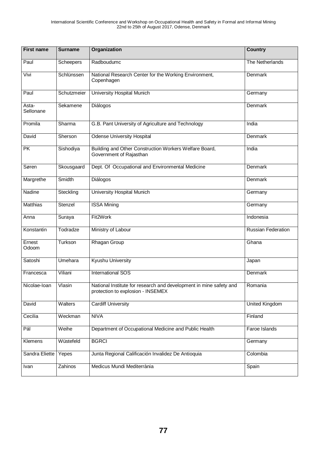| <b>First name</b>        | <b>Surname</b>   | Organization                                                                                            | <b>Country</b>            |
|--------------------------|------------------|---------------------------------------------------------------------------------------------------------|---------------------------|
| Paul                     | <b>Scheepers</b> | Radboudumc                                                                                              | The Netherlands           |
| Vivi                     | Schlünssen       | National Research Center for the Working Environment,<br>Copenhagen                                     | <b>Denmark</b>            |
| Paul                     | Schutzmeier      | <b>University Hospital Munich</b>                                                                       | Germany                   |
| Asta-<br>Sellonane       | Sekamene         | <b>Diálogos</b>                                                                                         | Denmark                   |
| Promila                  | Sharma           | G.B. Pant University of Agriculture and Technology                                                      | India                     |
| David                    | Sherson          | <b>Odense University Hospital</b>                                                                       | <b>Denmark</b>            |
| $\overline{\mathsf{PK}}$ | Sishodiya        | Building and Other Construction Workers Welfare Board,<br>Government of Rajasthan                       | India                     |
| Søren                    | Skousgaard       | Dept. Of Occupational and Environmental Medicine                                                        | <b>Denmark</b>            |
| Margrethe                | Smidth           | Diálogos                                                                                                | Denmark                   |
| Nadine                   | Steckling        | <b>University Hospital Munich</b>                                                                       | Germany                   |
| <b>Matthias</b>          | Stenzel          | <b>ISSA Mining</b>                                                                                      | Germany                   |
| Anna                     | Suraya           | Fit2Work                                                                                                | Indonesia                 |
| Konstantin               | Todradze         | Ministry of Labour                                                                                      | <b>Russian Federation</b> |
| Ernest<br>Odoom          | Turkson          | <b>Rhagan Group</b>                                                                                     | Ghana                     |
| Satoshi                  | Umehara          | Kyushu University                                                                                       | Japan                     |
| Francesca                | Viliani          | <b>International SOS</b>                                                                                | Denmark                   |
| Nicolae-Ioan             | Vlasin           | National Institute for research and development in mine safety and<br>protection to explosion - INSEMEX | Romania                   |
| David                    | Walters          | <b>Cardiff University</b>                                                                               | <b>United Kingdom</b>     |
| Cecilia                  | Weckman          | <b>NIVA</b>                                                                                             | Finland                   |
| Pál                      | Weihe            | Department of Occupational Medicine and Public Health                                                   | Faroe Islands             |
| Klemens                  | Wüstefeld        | <b>BGRCI</b>                                                                                            | Germany                   |
| Sandra Eliette           | Yepes            | Junta Regional Calificación Invalidez De Antioquia                                                      | Colombia                  |
| Ivan                     | Zahinos          | Medicus Mundi Mediterrània                                                                              | Spain                     |